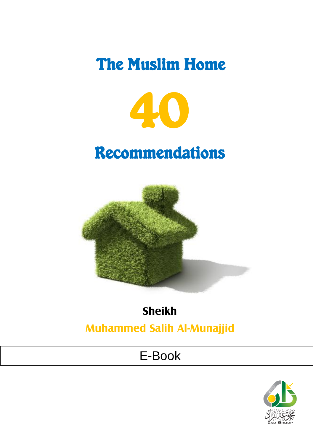# The Muslim Home



# Recommendations



## **Sheikh**

## **Muhammed Salih Al-Munajjid**

## E-Book

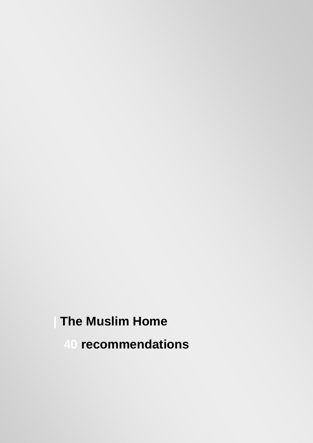## **| The Muslim Home**

 **40 recommendations**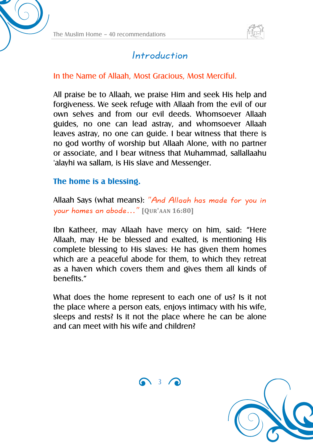

## Introduction

#### In the Name of Allaah, Most Gracious, Most Merciful.

All praise be to Allaah, we praise Him and seek His help and forgiveness. We seek refuge with Allaah from the evil of our own selves and from our evil deeds. Whomsoever Allaah guides, no one can lead astray, and whomsoever Allaah leaves astray, no one can guide. I bear witness that there is no god worthy of worship but Allaah Alone, with no partner or associate, and I bear witness that Muhammad, sallallaahu 'alayhi wa sallam, is His slave and Messenger.

#### **The home is a blessing.**

Allaah Says (what means): "And Allaah has made for you in your homes an abode…" **[QUR'AAN 16:80]**

Ibn Katheer, may Allaah have mercy on him, said: "Here Allaah, may He be blessed and exalted, is mentioning His complete blessing to His slaves: He has given them homes which are a peaceful abode for them, to which they retreat as a haven which covers them and gives them all kinds of henefits "

What does the home represent to each one of us? Is it not the place where a person eats, enjoys intimacy with his wife, sleeps and rests? Is it not the place where he can be alone and can meet with his wife and children?



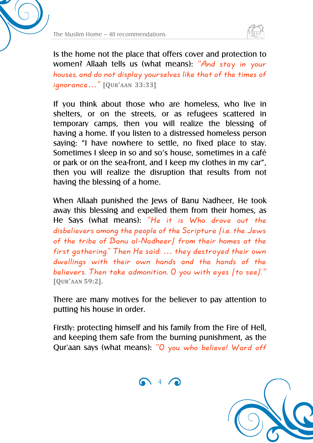



Is the home not the place that offers cover and protection to women? Allaah tells us (what means): "And stay in your houses, and do not display yourselves like that of the times of ignorance…" **[QUR'AAN 33:33]**

If you think about those who are homeless, who live in shelters, or on the streets, or as refugees scattered in temporary camps, then you will realize the blessing of having a home. If you listen to a distressed homeless person saying: "I have nowhere to settle, no fixed place to stay. Sometimes I sleep in so and so's house, sometimes in a café or park or on the sea-front, and I keep my clothes in my car", then you will realize the disruption that results from not having the blessing of a home.

When Allaah punished the Jews of Banu Nadheer, He took away this blessing and expelled them from their homes, as He Says (what means): "He it is Who drove out the disbelievers among the people of the Scripture [i.e. the Jews of the tribe of Banu al-Nadheer] from their homes at the first gathering." Then He said: … they destroyed their own dwellings with their own hands and the hands of the believers. Then take admonition,  $0$  you with eyes [to see]." **[QUR'AAN 59:2].**

There are many motives for the believer to pay attention to putting his house in order.

Firstly: protecting himself and his family from the Fire of Hell, and keeping them safe from the burning punishment, as the Qur'aan says (what means): "O you who believe! Ward off

 $\bigcap_{i=1}^{\infty}$  4  $\bigcap_{i=1}^{\infty}$ 

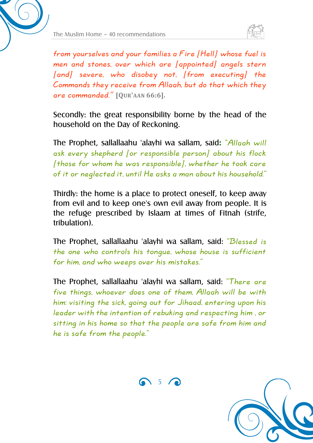



from yourselves and your families a Fire [Hell] whose fuel is men and stones, over which are [appointed] angels stern [and] severe, who disobey not, [from executing] the Commands they receive from Allaah, but do that which they are commanded." **[QUR'AAN 66:6].**

Secondly: the great responsibility borne by the head of the household on the Day of Reckoning.

The Prophet, sallallaahu 'alayhi wa sallam, said**:** "Allaah will ask every shepherd [or responsible person] about his flock  $[$  those for whom he was responsible $]$ , whether he took care of it or neglected it, until He asks a man about his household."

Thirdly: the home is a place to protect oneself, to keep away from evil and to keep one's own evil away from people. It is the refuge prescribed by Islaam at times of Fitnah (strife, tribulation).

The Prophet, sallallaahu 'alayhi wa sallam, said: "Blessed is the one who controls his tongue, whose house is sufficient for him, and who weeps over his mistakes."

The Prophet, sallallaahu 'alayhi wa sallam, said: "There are five things, whoever does one of them, Allaah will be with him: visiting the sick, going out for Jihaad, entering upon his leader with the intention of rebuking and respecting him , or sitting in his home so that the people are safe from him and he is safe from the people."



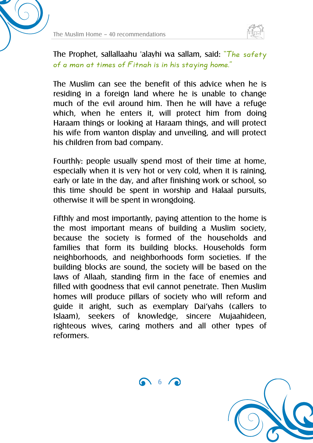



The Prophet, sallallaahu 'alayhi wa sallam, said: "The safety of a man at times of Fitnah is in his staying home."

The Muslim can see the benefit of this advice when he is residing in a foreign land where he is unable to change much of the evil around him. Then he will have a refuge which, when he enters it, will protect him from doing Haraam things or looking at Haraam things, and will protect his wife from wanton display and unveiling, and will protect his children from bad company.

Fourthly: people usually spend most of their time at home, especially when it is very hot or very cold, when it is raining, early or late in the day, and after finishing work or school, so this time should be spent in worship and Halaal pursuits, otherwise it will be spent in wrongdoing.

Fifthly and most importantly, paying attention to the home is the most important means of building a Muslim society, because the society is formed of the households and families that form its building blocks. Households form neighborhoods, and neighborhoods form societies. If the building blocks are sound, the society will be based on the laws of Allaah, standing firm in the face of enemies and filled with goodness that evil cannot penetrate. Then Muslim homes will produce pillars of society who will reform and guide it aright, such as exemplary Dai'yahs (callers to Islaam), seekers of knowledge, sincere Mujaahideen, righteous wives, caring mothers and all other types of reformers.

6 6 2

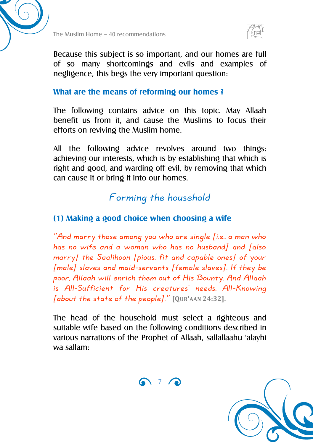



Because this subject is so important, and our homes are full of so many shortcomings and evils and examples of negligence, this begs the very important question:

#### **What are the means of reforming our homes ?**

The following contains advice on this topic. May Allaah benefit us from it, and cause the Muslims to focus their efforts on reviving the Muslim home.

All the following advice revolves around two things: achieving our interests, which is by establishing that which is right and good, and warding off evil, by removing that which can cause it or bring it into our homes.

## Forming the household

#### **(1) Making a good choice when choosing a wife**

"And marry those among you who are single  $(i.e., a man who$ has no wife and a woman who has no husband] and [also marry] the Saalihoon [pious, fit and capable ones] of your [male] slaves and maid-servants [female slaves]. If they be poor, Allaah will enrich them out of His Bounty. And Allaah is All-Sufficient for His creatures' needs, All-Knowing [about the state of the people]." **[QUR'AAN 24:32].**

The head of the household must select a righteous and suitable wife based on the following conditions described in various narrations of the Prophet of Allaah, sallallaahu 'alayhi wa sallam:



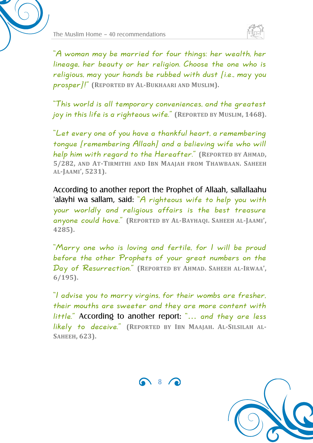

"A woman may be married for four things: her wealth, her lineage, her beauty or her religion. Choose the one who is religious, may your hands be rubbed with dust  $(i.e.,$  may you prosper]!" **(REPORTED BY AL-BUKHAARI AND MUSLIM).**

"This world is all temporary conveniences, and the greatest joy in this life is a righteous wife." **(REPORTED BY MUSLIM, 1468).**

"Let every one of you have a thankful heart, a remembering tongue [remembering Allaah] and a believing wife who will help him with regard to the Hereafter." **(REPORTED BY AHMAD, 5/282, AND AT-TIRMITHI AND IBN MAAJAH FROM THAWBAAN. SAHEEH AL-JAAMI', 5231).**

According to another report the Prophet of Allaah, sallallaahu 'alayhi wa sallam, said: "A righteous wife to help you with your worldly and religious affairs is the best treasure anyone could have." **(REPORTED BY AL-BAYHAQI. SAHEEH AL-JAAMI', 4285).**

"Marry one who is loving and fertile, for I will be proud before the other Prophets of your great numbers on the Day of Resurrection." **(REPORTED BY AHMAD. SAHEEH AL-IRWAA', 6/195).**

"I advise you to marry virgins, for their wombs are fresher, their mouths are sweeter and they are more content with little." According to another report: "… and they are less likely to deceive." **(REPORTED BY IBN MAAJAH. AL-SILSILAH AL-SAHEEH, 623).**



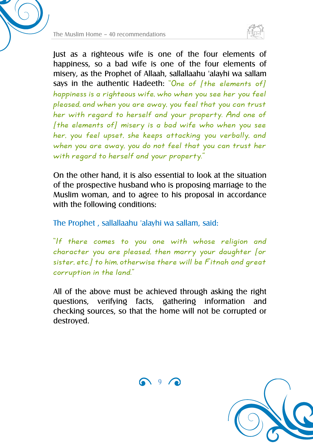



Just as a righteous wife is one of the four elements of happiness, so a bad wife is one of the four elements of misery, as the Prophet of Allaah, sallallaahu 'alayhi wa sallam says in the authentic Hadeeth: "One of [the elements of] happiness is a righteous wife, who when you see her you feel pleased, and when you are away, you feel that you can trust her with regard to herself and your property. And one of  $[$ the elements of $]$  misery is a bad wife who when you see her, you feel upset, she keeps attacking you verbally, and when you are away, you do not feel that you can trust her with regard to herself and your property."

On the other hand, it is also essential to look at the situation of the prospective husband who is proposing marriage to the Muslim woman, and to agree to his proposal in accordance with the following conditions:

The Prophet , sallallaahu 'alayhi wa sallam, said:

"If there comes to you one with whose religion and character you are pleased, then marry your daughter [or sister, etc.] to him, otherwise there will be Fitnah and great corruption in the land."

All of the above must be achieved through asking the right questions, verifying facts, gathering information and checking sources, so that the home will not be corrupted or destroyed.

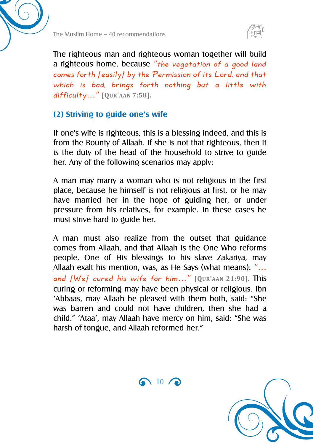

The righteous man and righteous woman together will build a righteous home, because "the vegetation of a good land comes forth [easily] by the Permission of its Lord, and that which is bad, brings forth nothing but a little with difficulty…" **[QUR'AAN 7:58].**

#### **(2) Striving to guide one's wife**

If one's wife is righteous, this is a blessing indeed, and this is from the Bounty of Allaah. If she is not that righteous, then it is the duty of the head of the household to strive to guide her. Any of the following scenarios may apply:

A man may marry a woman who is not religious in the first place, because he himself is not religious at first, or he may have married her in the hope of guiding her, or under pressure from his relatives, for example. In these cases he must strive hard to guide her.

A man must also realize from the outset that guidance comes from Allaah, and that Allaah is the One Who reforms people. One of His blessings to his slave Zakariya, may Allaah exalt his mention, was, as He Says (what means): "… and [We] cured his wife for him…" **[QUR'AAN 21:90].** This curing or reforming may have been physical or religious. Ibn 'Abbaas, may Allaah be pleased with them both, said: "She was barren and could not have children, then she had a child." 'Ataa', may Allaah have mercy on him, said: "She was harsh of tongue, and Allaah reformed her."

 $\bigcap$  10  $\bigcap$ 

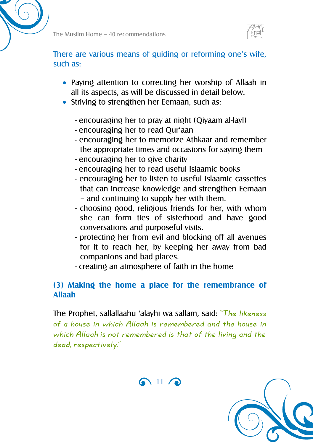

There are various means of guiding or reforming one's wife, such as:

- Paying attention to correcting her worship of Allaah in all its aspects, as will be discussed in detail below.
- Striving to strengthen her Eemaan, such as:
	- encouraging her to pray at night (Qiyaam al-layl)
	- encouraging her to read Qur'aan
	- encouraging her to memorize Athkaar and remember the appropriate times and occasions for saying them
	- encouraging her to give charity
	- encouraging her to read useful Islaamic books
	- encouraging her to listen to useful Islaamic cassettes that can increase knowledge and strengthen Eemaan – and continuing to supply her with them.
	- choosing good, religious friends for her, with whom she can form ties of sisterhood and have good conversations and purposeful visits.
	- protecting her from evil and blocking off all avenues for it to reach her, by keeping her away from bad companions and bad places.
	- creating an atmosphere of faith in the home

#### **(3) Making the home a place for the remembrance of Allaah**

The Prophet, sallallaahu 'alayhi wa sallam, said: "The likeness of a house in which Allaah is remembered and the house in which Allaah is not remembered is that of the living and the dead, respectively."



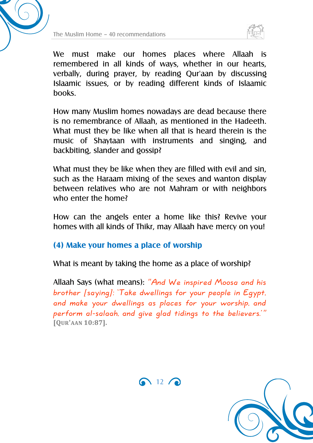



We must make our homes places where Allaah is remembered in all kinds of ways, whether in our hearts, verbally, during prayer, by reading Qur'aan by discussing Islaamic issues, or by reading different kinds of Islaamic books.

How many Muslim homes nowadays are dead because there is no remembrance of Allaah, as mentioned in the Hadeeth. What must they be like when all that is heard therein is the music of Shaytaan with instruments and singing, and backbiting, slander and gossip?

What must they be like when they are filled with evil and sin, such as the Haraam mixing of the sexes and wanton display between relatives who are not Mahram or with neighbors who enter the home?

How can the angels enter a home like this? Revive your homes with all kinds of Thikr, may Allaah have mercy on you!

#### **(4) Make your homes a place of worship**

What is meant by taking the home as a place of worship?

Allaah Says (what means): "And We inspired Moosa and his brother [saying]: 'Take dwellings for your people in Egypt, and make your dwellings as places for your worship, and perform al-salaah, and give glad tidings to the believers.'" **[QUR'AAN 10:87].**



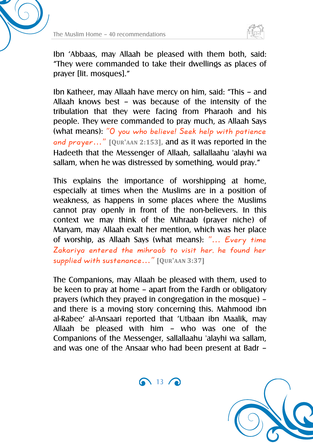



Ibn 'Abbaas, may Allaah be pleased with them both, said: "They were commanded to take their dwellings as places of prayer [lit. mosques]."

Ibn Katheer, may Allaah have mercy on him, said: "This – and Allaah knows best – was because of the intensity of the tribulation that they were facing from Pharaoh and his people. They were commanded to pray much, as Allaah Says (what means): "O you who believe! Seek help with patience and prayer…" **[QUR'AAN 2:153],** and as it was reported in the Hadeeth that the Messenger of Allaah, sallallaahu 'alayhi wa sallam, when he was distressed by something, would pray."

This explains the importance of worshipping at home, especially at times when the Muslims are in a position of weakness, as happens in some places where the Muslims cannot pray openly in front of the non-believers. In this context we may think of the Mihraab (prayer niche) of Maryam, may Allaah exalt her mention, which was her place of worship, as Allaah Says (what means): "… Every time Zakariya entered the mihraab to visit her, he found her supplied with sustenance…" **[QUR'AAN 3:37]**

The Companions, may Allaah be pleased with them, used to be keen to pray at home – apart from the Fardh or obligatory prayers (which they prayed in congregation in the mosque) – and there is a moving story concerning this. Mahmood ibn al-Rabee' al-Ansaari reported that 'Utbaan ibn Maalik, may Allaah be pleased with him – who was one of the Companions of the Messenger, sallallaahu 'alayhi wa sallam, and was one of the Ansaar who had been present at Badr –

 $\bigcap$  13  $\bigcap$ 

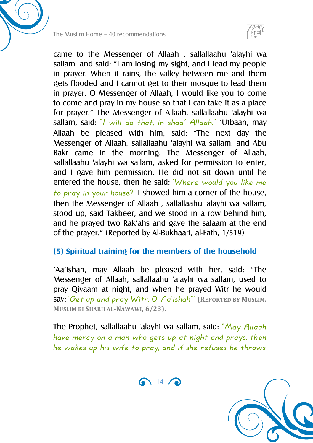



came to the Messenger of Allaah , sallallaahu 'alayhi wa sallam, and said: "I am losing my sight, and I lead my people in prayer. When it rains, the valley between me and them gets flooded and I cannot get to their mosque to lead them in prayer. O Messenger of Allaah, I would like you to come to come and pray in my house so that I can take it as a place for prayer." The Messenger of Allaah, sallallaahu 'alayhi wa sallam, said: "/ will do that, in shaa' Allaah." 'Utbaan, may Allaah be pleased with him, said: "The next day the Messenger of Allaah, sallallaahu 'alayhi wa sallam, and Abu Bakr came in the morning. The Messenger of Allaah, sallallaahu 'alayhi wa sallam, asked for permission to enter, and I gave him permission. He did not sit down until he entered the house, then he said: 'Where would you like me to pray in your house?' I showed him a corner of the house, then the Messenger of Allaah , sallallaahu 'alayhi wa sallam, stood up, said Takbeer, and we stood in a row behind him, and he prayed two Rak'ahs and gave the salaam at the end of the prayer." (Reported by Al-Bukhaari, al-Fath, 1/519)

#### **(5) Spiritual training for the members of the household**

'Aa'ishah, may Allaah be pleased with her, said: "The Messenger of Allaah, sallallaahu 'alayhi wa sallam, used to pray Qiyaam at night, and when he prayed Witr he would say: 'Get up and pray Witr, O 'Aa'ishah'" **(REPORTED BY MUSLIM, MUSLIM BI SHARH AL-NAWAWI, 6/23).**

The Prophet, sallallaahu 'alayhi wa sallam, said: "May Allaah have mercy on a man who gets up at night and prays, then he wakes up his wife to pray, and if she refuses he throws



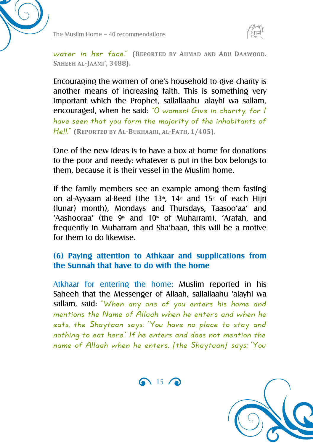



water in her face." **(REPORTED BY AHMAD AND ABU DAAWOOD. SAHEEH AL-JAAMI', 3488).**

Encouraging the women of one's household to give charity is another means of increasing faith. This is something very important which the Prophet, sallallaahu 'alayhi wa sallam, encouraged, when he said: "O women! Give in charity, for I have seen that you form the majority of the inhabitants of Hell." **(REPORTED BY AL-BUKHAARI, AL-FATH, 1/405).**

One of the new ideas is to have a box at home for donations to the poor and needy: whatever is put in the box belongs to them, because it is their vessel in the Muslim home.

If the family members see an example among them fasting on al-Ayyaam al-Beed (the 13<sup>th</sup>, 14<sup>th</sup> and 15<sup>th</sup> of each Hiiri (lunar) month), Mondays and Thursdays, Taasoo'aa' and 'Aashooraa' (the  $9<sup>th</sup>$  and 10<sup>th</sup> of Muharram), 'Arafah, and frequently in Muharram and Sha'baan, this will be a motive for them to do likewise.

#### **(6) Paying attention to Athkaar and supplications from the Sunnah that have to do with the home**

Atkhaar for entering the home: Muslim reported in his Saheeh that the Messenger of Allaah, sallallaahu 'alayhi wa sallam, said: "When any one of you enters his home and mentions the Name of Allaah when he enters and when he eats, the Shaytaan says: 'You have no place to stay and nothing to eat here.' If he enters and does not mention the name of Allaah when he enters, [the Shaytaan] says: 'You

 $\bigcap$  15  $\bigcap$ 

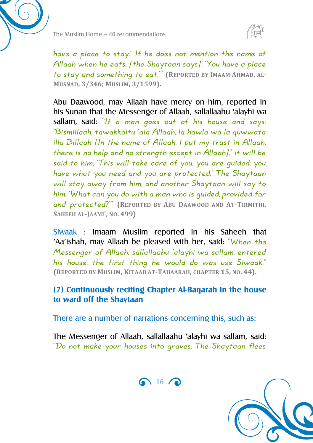



have a place to stay.' If he does not mention the name of Allaah when he eats, [the Shaytaan says], 'You have a place to stay and something to eat.'" **(REPORTED BY IMAAM AHMAD, AL-MUSNAD, 3/346; MUSLIM, 3/1599).**

Abu Daawood, may Allaah have mercy on him, reported in his Sunan that the Messenger of Allaah, sallallaahu 'alayhi wa sallam, said: "If a man goes out of his house and says: 'Bismillaah, tawakkaltu 'ala Allaah, la hawla wa la quwwata illa Billaah [In the name of Allaah, I put my trust in Allaah, there is no help and no strength except in Allaah],' it will be said to him, 'This will take care of you, you are guided, you have what you need and you are protected.' The Shaytaan will stay away from him, and another Shaytaan will say to him: 'What can you do with a man who is guided, provided for and protected?'" **(REPORTED BY ABU DAAWOOD AND AT-TIRMITHI. SAHEEH AL-JAAMI', NO. 499)**

Siwaak : Imaam Muslim reported in his Saheeh that 'Aa'ishah, may Allaah be pleased with her, said: "When the Messenger of Allaah, sallallaahu 'alayhi wa sallam, entered his house, the first thing he would do was use Siwaak." **(REPORTED BY MUSLIM, KITAAB AT-TAHAARAH, CHAPTER 15, NO. 44).**

#### **(7) Continuously reciting Chapter Al-Baqarah in the house to ward off the Shaytaan**

There are a number of narrations concerning this, such as:

The Messenger of Allaah, sallallaahu 'alayhi wa sallam, said: "Do not make your houses into graves. The Shaytaan flees



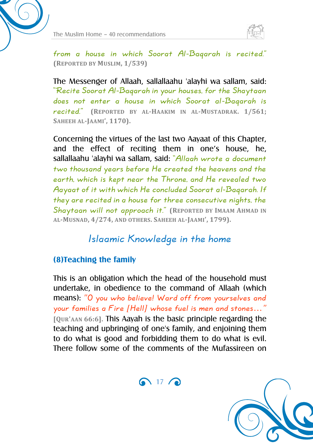

from a house in which Soorat Al-Baqarah is recited." **(REPORTED BY MUSLIM, 1/539)**

The Messenger of Allaah, sallallaahu 'alayhi wa sallam, said: "Recite Soorat Al-Baqarah in your houses, for the Shaytaan does not enter a house in which Soorat al-Baqarah is recited." **(REPORTED BY AL-HAAKIM IN AL-MUSTADRAK. 1/561; SAHEEH AL-JAAMI', 1170).**

Concerning the virtues of the last two Aayaat of this Chapter, and the effect of reciting them in one's house, he, sallallaahu 'alayhi wa sallam, said: "Allaah wrote a document two thousand years before He created the heavens and the earth, which is kept near the Throne, and He revealed two Aayaat of it with which He concluded Soorat al-Baqarah. If they are recited in a house for three consecutive nights, the Shaytaan will not approach it." **(REPORTED BY IMAAM AHMAD IN AL-MUSNAD, 4/274, AND OTHERS. SAHEEH AL-JAAMI', 1799).**

### Islaamic Knowledge in the home

#### **(8)Teaching the family**

This is an obligation which the head of the household must undertake, in obedience to the command of Allaah (which means): "O you who believe! Ward off from yourselves and your families a Fire [Hell] whose fuel is men and stones…" **[QUR'AAN 66:6].** This Aayah is the basic principle regarding the teaching and upbringing of one's family, and enjoining them to do what is good and forbidding them to do what is evil. There follow some of the comments of the Mufassireen on

 $\bigcap$  17 $\bigcap$ 

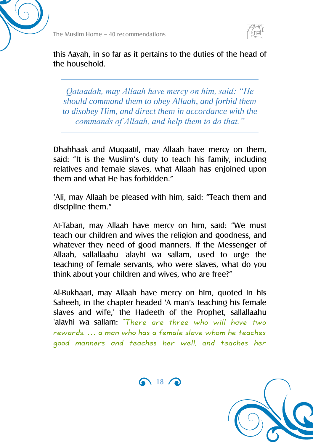

this Aayah, in so far as it pertains to the duties of the head of the household.

*Qataadah, may Allaah have mercy on him, said: "He should command them to obey Allaah, and forbid them to disobey Him, and direct them in accordance with the commands of Allaah, and help them to do that."*

Dhahhaak and Muqaatil, may Allaah have mercy on them, said: "It is the Muslim's duty to teach his family, including relatives and female slaves, what Allaah has enjoined upon them and what He has forbidden."

'Ali, may Allaah be pleased with him, said: "Teach them and discipline them."

At-Tabari, may Allaah have mercy on him, said: "We must teach our children and wives the religion and goodness, and whatever they need of good manners. If the Messenger of Allaah, sallallaahu 'alayhi wa sallam, used to urge the teaching of female servants, who were slaves, what do you think about your children and wives, who are free?"

Al-Bukhaari, may Allaah have mercy on him, quoted in his Saheeh, in the chapter headed 'A man's teaching his female slaves and wife,' the Hadeeth of the Prophet, sallallaahu 'alayhi wa sallam: "There are three who will have two rewards: … a man who has a female slave whom he teaches good manners and teaches her well, and teaches her

 $\bigcap$  18  $\bigcap$ 

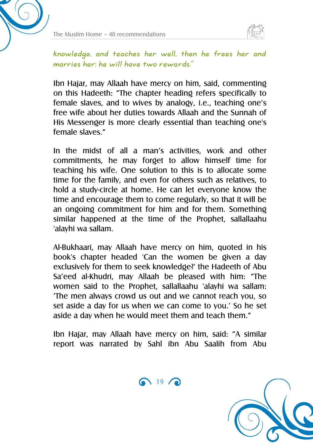



knowledge, and teaches her well, then he frees her and marries her: he will have two rewards."

Ibn Hajar, may Allaah have mercy on him, said, commenting on this Hadeeth: "The chapter heading refers specifically to female slaves, and to wives by analogy, i.e., teaching one's free wife about her duties towards Allaah and the Sunnah of His Messenger is more clearly essential than teaching one's female slaves."

In the midst of all a man's activities, work and other commitments, he may forget to allow himself time for teaching his wife. One solution to this is to allocate some time for the family, and even for others such as relatives, to hold a study-circle at home. He can let everyone know the time and encourage them to come regularly, so that it will be an ongoing commitment for him and for them. Something similar happened at the time of the Prophet, sallallaahu 'alayhi wa sallam.

Al-Bukhaari, may Allaah have mercy on him, quoted in his book's chapter headed 'Can the women be given a day exclusively for them to seek knowledge?' the Hadeeth of Abu Sa'eed al-Khudri, may Allaah be pleased with him: "The women said to the Prophet, sallallaahu 'alayhi wa sallam: 'The men always crowd us out and we cannot reach you, so set aside a day for us when we can come to you.' So he set aside a day when he would meet them and teach them."

Ibn Hajar, may Allaah have mercy on him, said: "A similar report was narrated by Sahl ibn Abu Saalih from Abu



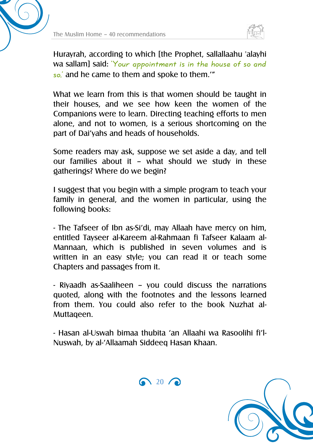



Hurayrah, according to which [the Prophet, sallallaahu 'alayhi wa sallam] said: 'Your appointment is in the house of so and so,' and he came to them and spoke to them.'"

What we learn from this is that women should be taught in their houses, and we see how keen the women of the Companions were to learn. Directing teaching efforts to men alone, and not to women, is a serious shortcoming on the part of Dai'yahs and heads of households.

Some readers may ask, suppose we set aside a day, and tell our families about it – what should we study in these gatherings? Where do we begin?

I suggest that you begin with a simple program to teach your family in general, and the women in particular, using the following books:

- The Tafseer of Ibn as-Si'di, may Allaah have mercy on him, entitled Tayseer al-Kareem al-Rahmaan fi Tafseer Kalaam al-Mannaan, which is published in seven volumes and is written in an easy style; you can read it or teach some Chapters and passages from it.

- Riyaadh as-Saaliheen – you could discuss the narrations quoted, along with the footnotes and the lessons learned from them. You could also refer to the book Nuzhat al-Muttaqeen.

- Hasan al-Uswah bimaa thubita 'an Allaahi wa Rasoolihi fi'l-Nuswah, by al-'Allaamah Siddeeq Hasan Khaan.



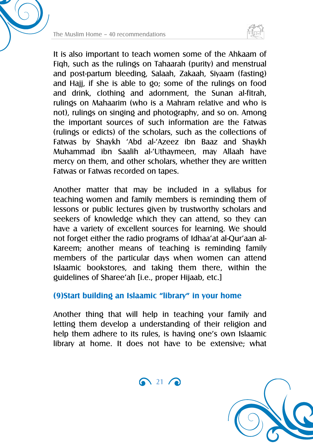



It is also important to teach women some of the Ahkaam of Fiqh, such as the rulings on Tahaarah (purity) and menstrual and post-partum bleeding, Salaah, Zakaah, Siyaam (fasting) and Hajj, if she is able to go; some of the rulings on food and drink, clothing and adornment, the Sunan al-fitrah, rulings on Mahaarim (who is a Mahram relative and who is not), rulings on singing and photography, and so on. Among the important sources of such information are the Fatwas (rulings or edicts) of the scholars, such as the collections of Fatwas by Shaykh 'Abd al-'Azeez ibn Baaz and Shaykh Muhammad ibn Saalih al-'Uthaymeen, may Allaah have mercy on them, and other scholars, whether they are written Fatwas or Fatwas recorded on tapes.

Another matter that may be included in a syllabus for teaching women and family members is reminding them of lessons or public lectures given by trustworthy scholars and seekers of knowledge which they can attend, so they can have a variety of excellent sources for learning. We should not forget either the radio programs of Idhaa'at al-Qur'aan al-Kareem; another means of teaching is reminding family members of the particular days when women can attend Islaamic bookstores, and taking them there, within the guidelines of Sharee'ah [i.e., proper Hijaab, etc.]

#### **(9)Start building an Islaamic "library" in your home**

Another thing that will help in teaching your family and letting them develop a understanding of their religion and help them adhere to its rules, is having one's own Islaamic library at home. It does not have to be extensive; what

 $\bigcap$  21  $\bigcap$ 

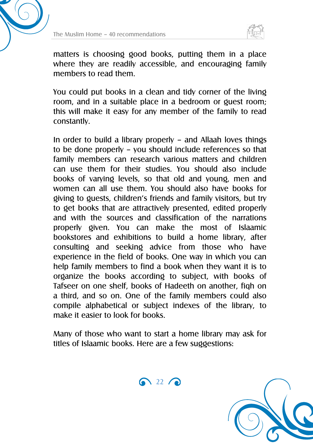



matters is choosing good books, putting them in a place where they are readily accessible, and encouraging family members to read them.

You could put books in a clean and tidy corner of the living room, and in a suitable place in a bedroom or guest room; this will make it easy for any member of the family to read constantly.

In order to build a library properly – and Allaah loves things to be done properly – you should include references so that family members can research various matters and children can use them for their studies. You should also include books of varying levels, so that old and young, men and women can all use them. You should also have books for giving to guests, children's friends and family visitors, but try to get books that are attractively presented, edited properly and with the sources and classification of the narrations properly given. You can make the most of Islaamic bookstores and exhibitions to build a home library, after consulting and seeking advice from those who have experience in the field of books. One way in which you can help family members to find a book when they want it is to organize the books according to subject, with books of Tafseer on one shelf, books of Hadeeth on another, fiqh on a third, and so on. One of the family members could also compile alphabetical or subject indexes of the library, to make it easier to look for books.

Many of those who want to start a home library may ask for titles of Islaamic books. Here are a few suggestions:



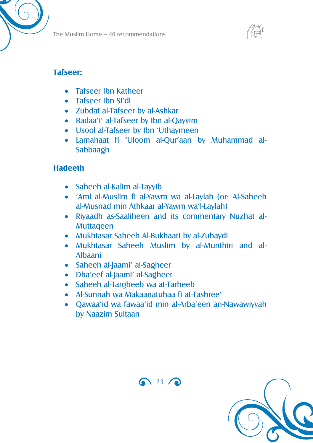



#### **Tafseer:**

- Tafseer Ibn Katheer
- Tafseer Ibn Si'di
- Zubdat al-Tafseer by al-Ashkar
- Badaa'i' al-Tafseer by Ibn al-Qayyim
- Usool al-Tafseer by Ibn 'Uthaymeen
- Lamahaat fi 'Uloom al-Qur'aan by Muhammad al-Sabbaagh

#### **Hadeeth**

- Saheeh al-Kalim al-Tayyib
- 'Aml al-Muslim fi al-Yawm wa al-Laylah (or: Al-Saheeh al-Musnad min Athkaar al-Yawm wa'l-Laylah)
- Riyaadh as-Saaliheen and its commentary Nuzhat al-Muttaqeen
- Mukhtasar Saheeh Al-Bukhaari by al-Zubaydi
- Mukhtasar Saheeh Muslim by al-Munthiri and al-Albaani
- Saheeh al-Jaami' al-Sagheer
- Dha'eef al-Jaami' al-Sagheer
- Saheeh al-Targheeb wa at-Tarheeb
- Al-Sunnah wa Makaanatuhaa fi at-Tashree'
- Qawaa'id wa fawaa'id min al-Arba'een an-Nawawiyyah by Naazim Sultaan



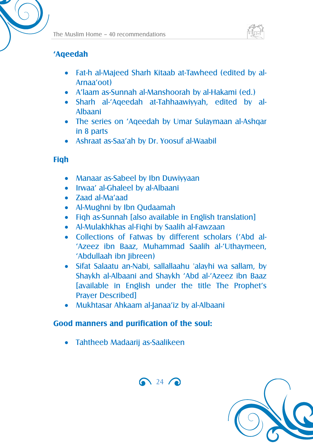

#### **'Aqeedah**

- Fat-h al-Majeed Sharh Kitaab at-Tawheed (edited by al-Arnaa'oot)
- A'laam as-Sunnah al-Manshoorah by al-Hakami (ed.)
- Sharh al-'Aqeedah at-Tahhaawiyyah, edited by al-Albaani
- The series on 'Aqeedah by Umar Sulaymaan al-Ashqar in 8 parts
- Ashraat as-Saa'ah by Dr. Yoosuf al-Waabil

#### **Fiqh**

- Manaar as-Sabeel by Ibn Duwiyyaan
- Irwaa' al-Ghaleel by al-Albaani
- Zaad al-Ma'aad
- Al-Mughni by Ibn Qudaamah
- Figh as-Sunnah [also available in English translation]
- Al-Mulakhkhas al-Fiqhi by Saalih al-Fawzaan
- Collections of Fatwas by different scholars ('Abd al- 'Azeez ibn Baaz, Muhammad Saalih al-'Uthaymeen, 'Abdullaah ibn Jibreen)
- Sifat Salaatu an-Nabi, sallallaahu 'alayhi wa sallam, by Shaykh al-Albaani and Shaykh 'Abd al-'Azeez ibn Baaz [available in English under the title The Prophet's Prayer Described]

 $\bigodot$  24  $\bigodot$ 

Mukhtasar Ahkaam al-Janaa'iz by al-Albaani

#### **Good manners and purification of the soul:**

Tahtheeb Madaarij as-Saalikeen

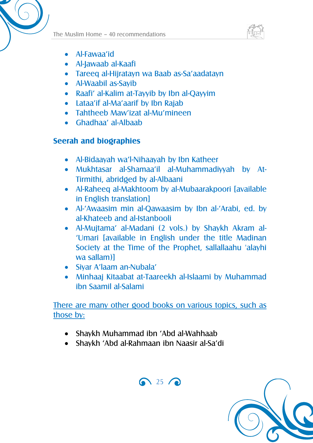



- Al-Fawaa'id
- Al-Jawaab al-Kaafi
- Tareeq al-Hijratayn wa Baab as-Sa'aadatayn
- Al-Waabil as-Sayib
- Raafi' al-Kalim at-Tayyib by Ibn al-Qayyim
- Lataa'if al-Ma'aarif by Ibn Rajab
- Tahtheeb Maw'izat al-Mu'mineen
- Ghadhaa' al-Albaab

#### **Seerah and biographies**

- Al-Bidaayah wa'l-Nihaayah by Ibn Katheer
- Mukhtasar al-Shamaa'il al-Muhammadiyyah by At-Tirmithi, abridged by al-Albaani
- Al-Raheeq al-Makhtoom by al-Mubaarakpoori [available in English translation]
- Al-'Awaasim min al-Qawaasim by Ibn al-'Arabi, ed. by al-Khateeb and al-Istanbooli
- Al-Mujtama' al-Madani (2 vols.) by Shaykh Akram al- 'Umari [available in English under the title Madinan Society at the Time of the Prophet, sallallaahu 'alayhi wa sallam)]
- Siyar A'laam an-Nubala'
- Minhaaj Kitaabat at-Taareekh al-Islaami by Muhammad ibn Saamil al-Salami

There are many other good books on various topics, such as those by:

- Shaykh Muhammad ibn 'Abd al-Wahhaab
- Shaykh 'Abd al-Rahmaan ibn Naasir al-Sa'di



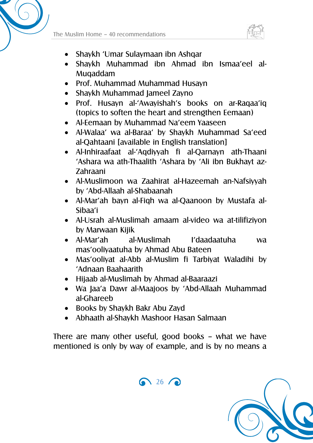



- Shaykh 'Umar Sulaymaan ibn Ashqar
- Shaykh Muhammad ibn Ahmad ibn Ismaa'eel al-Muqaddam
- Prof. Muhammad Muhammad Husayn
- Shaykh Muhammad Jameel Zayno
- Prof. Husayn al-'Awayishah's books on ar-Raqaa'iq (topics to soften the heart and strengthen Eemaan)
- Al-Eemaan by Muhammad Na'eem Yaaseen
- Al-Walaa' wa al-Baraa' by Shaykh Muhammad Sa'eed al-Qahtaani [available in English translation]
- Al-Inhiraafaat al-'Aqdiyyah fi al-Qarnayn ath-Thaani 'Ashara wa ath-Thaalith 'Ashara by 'Ali ibn Bukhayt az-Zahraani
- Al-Muslimoon wa Zaahirat al-Hazeemah an-Nafsiyyah by 'Abd-Allaah al-Shabaanah
- Al-Mar'ah bayn al-Fiqh wa al-Qaanoon by Mustafa al-Sibaa'i
- Al-Usrah al-Muslimah amaam al-video wa at-tilifiziyon by Marwaan Kijik
- Al-Mar'ah al-Muslimah I'daadaatuha wa mas'ooliyaatuha by Ahmad Abu Bateen
- Mas'ooliyat al-Abb al-Muslim fi Tarbiyat Waladihi by 'Adnaan Baahaarith
- Hijaab al-Muslimah by Ahmad al-Baaraazi
- Wa Jaa'a Dawr al-Maajoos by 'Abd-Allaah Muhammad al-Ghareeb
- Books by Shaykh Bakr Abu Zayd
- Abhaath al-Shaykh Mashoor Hasan Salmaan

There are many other useful, good books – what we have mentioned is only by way of example, and is by no means a



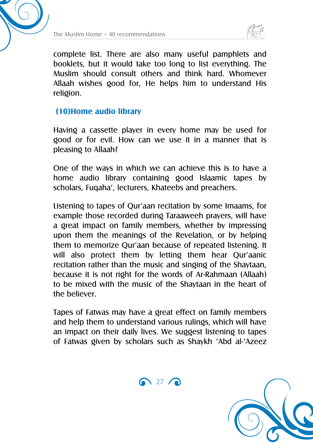



complete list. There are also many useful pamphlets and booklets, but it would take too long to list everything. The Muslim should consult others and think hard. Whomever Allaah wishes good for, He helps him to understand His religion.

#### **(10)Home audio library**

Having a cassette player in every home may be used for good or for evil. How can we use it in a manner that is pleasing to Allaah?

One of the ways in which we can achieve this is to have a home audio library containing good Islaamic tapes by scholars, Fuqaha', lecturers, Khateebs and preachers.

Listening to tapes of Qur'aan recitation by some Imaams, for example those recorded during Taraaweeh prayers, will have a great impact on family members, whether by impressing upon them the meanings of the Revelation, or by helping them to memorize Qur'aan because of repeated listening. It will also protect them by letting them hear Qur'aanic recitation rather than the music and singing of the Shaytaan, because it is not right for the words of Ar-Rahmaan (Allaah) to be mixed with the music of the Shaytaan in the heart of the believer.

Tapes of Fatwas may have a great effect on family members and help them to understand various rulings, which will have an impact on their daily lives. We suggest listening to tapes of Fatwas given by scholars such as Shaykh 'Abd al-'Azeez

 $\bigcap$  27  $\bigcap$ 

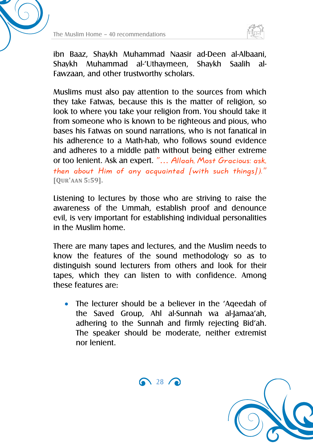



ibn Baaz, Shaykh Muhammad Naasir ad-Deen al-Albaani, Shaykh Muhammad al-'Uthaymeen, Shaykh Saalih al-Fawzaan, and other trustworthy scholars.

Muslims must also pay attention to the sources from which they take Fatwas, because this is the matter of religion, so look to where you take your religion from. You should take it from someone who is known to be righteous and pious, who bases his Fatwas on sound narrations, who is not fanatical in his adherence to a Math-hab, who follows sound evidence and adheres to a middle path without being either extreme or too lenient. Ask an expert. "… Allaah, Most Gracious: ask, then about Him of any acquainted [with such things])." **[QUR'AAN 5:59].**

Listening to lectures by those who are striving to raise the awareness of the Ummah, establish proof and denounce evil, is very important for establishing individual personalities in the Muslim home.

There are many tapes and lectures, and the Muslim needs to know the features of the sound methodology so as to distinguish sound lecturers from others and look for their tapes, which they can listen to with confidence. Among these features are:

 The lecturer should be a believer in the 'Aqeedah of the Saved Group, Ahl al-Sunnah wa al-Jamaa'ah, adhering to the Sunnah and firmly rejecting Bid'ah. The speaker should be moderate, neither extremist nor lenient.

 $\bigcap$  28  $\bigcap$ 

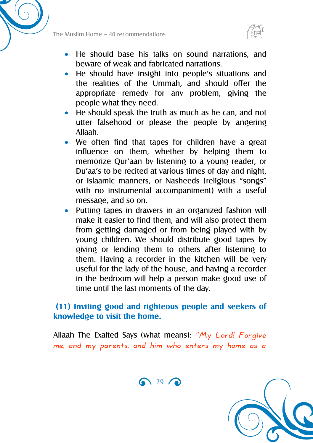



- He should base his talks on sound narrations, and beware of weak and fabricated narrations.
- He should have insight into people's situations and the realities of the Ummah, and should offer the appropriate remedy for any problem, giving the people what they need.
- He should speak the truth as much as he can, and not utter falsehood or please the people by angering Allaah.
- We often find that tapes for children have a great influence on them, whether by helping them to memorize Qur'aan by listening to a young reader, or Du'aa's to be recited at various times of day and night, or Islaamic manners, or Nasheeds (religious "songs" with no instrumental accompaniment) with a useful message, and so on.
- Putting tapes in drawers in an organized fashion will make it easier to find them, and will also protect them from getting damaged or from being played with by young children. We should distribute good tapes by giving or lending them to others after listening to them. Having a recorder in the kitchen will be very useful for the lady of the house, and having a recorder in the bedroom will help a person make good use of time until the last moments of the day.

#### **(11) Inviting good and righteous people and seekers of knowledge to visit the home.**

Allaah The Exalted Says (what means): " $M_y$  Lord! Forgive me, and my parents, and him who enters my home as a

 $\bigcap$  29  $\bigcap$ 

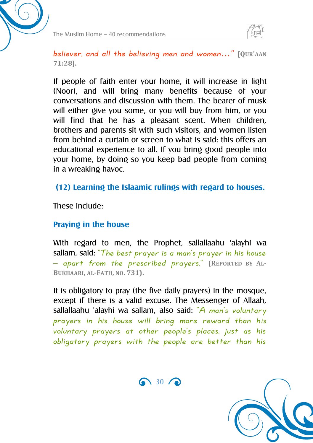



believer, and all the believing men and women…" **[QUR'AAN 71:28].**

If people of faith enter your home, it will increase in light (Noor), and will bring many benefits because of your conversations and discussion with them. The bearer of musk will either give you some, or you will buy from him, or you will find that he has a pleasant scent. When children, brothers and parents sit with such visitors, and women listen from behind a curtain or screen to what is said: this offers an educational experience to all. If you bring good people into your home, by doing so you keep bad people from coming in a wreaking havoc.

#### **(12) Learning the Islaamic rulings with regard to houses.**

These include:

#### **Praying in the house**

With regard to men, the Prophet, sallallaahu 'alayhi wa sallam, said: "The best prayer is a man's prayer in his house – apart from the prescribed prayers." **(REPORTED BY AL-BUKHAARI, AL-FATH, NO. 731).**

It is obligatory to pray (the five daily prayers) in the mosque, except if there is a valid excuse. The Messenger of Allaah, sallallaahu 'alayhi wa sallam, also said: " $A$  man's voluntary prayers in his house will bring more reward than his voluntary prayers at other people's places, just as his obligatory prayers with the people are better than his



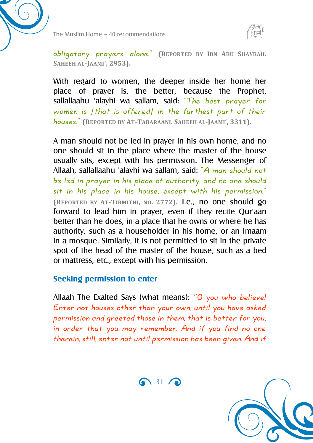



obligatory prayers alone." **(REPORTED BY IBN ABU SHAYBAH. SAHEEH AL-JAAMI', 2953).**

With regard to women, the deeper inside her home her place of prayer is, the better, because the Prophet, sallallaahu 'alayhi wa sallam, said: "The best prayer for women is [that is offered] in the furthest part of their houses." **(REPORTED BY AT-TABARAANI. SAHEEH AL-JAAMI', 3311).**

A man should not be led in prayer in his own home, and no one should sit in the place where the master of the house usually sits, except with his permission. The Messenger of Allaah, sallallaahu 'alayhi wa sallam, said: "A man should not be led in prayer in his place of authority, and no one should sit in his place in his house, except with his permission." **(REPORTED BY AT-TIRMITHI, NO. 2772).** I.e., no one should go forward to lead him in prayer, even if they recite Qur'aan better than he does, in a place that he owns or where he has authority, such as a householder in his home, or an Imaam in a mosque. Similarly, it is not permitted to sit in the private spot of the head of the master of the house, such as a bed or mattress, etc., except with his permission.

#### **Seeking permission to enter**

Allaah The Exalted Says (what means): "O you who believe! Enter not houses other than your own, until you have asked permission and greeted those in them, that is better for you, in order that you may remember. And if you find no one therein, still, enter not until permission has been given. And if



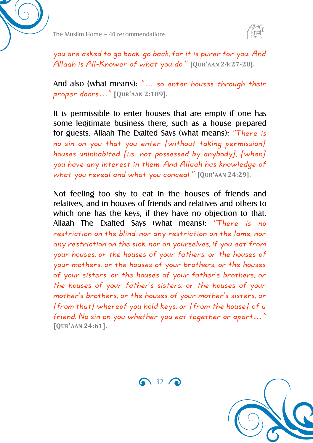



you are asked to go back, go back, for it is purer for you. And Allaah is All-Knower of what you do." **[QUR'AAN 24:27-28].**

And also (what means): "… so enter houses through their proper doors…" **[QUR'AAN 2:189].**

It is permissible to enter houses that are empty if one has some legitimate business there, such as a house prepared for guests. Allaah The Exalted Says (what means): "There is no sin on you that you enter [without taking permission] houses uninhabited [i.e., not possessed by anybody], [when] you have any interest in them. And Allaah has knowledge of what you reveal and what you conceal." **[QUR'AAN 24:29].**

Not feeling too shy to eat in the houses of friends and relatives, and in houses of friends and relatives and others to which one has the keys, if they have no objection to that. Allaah The Exalted Says (what means): "There is no restriction on the blind, nor any restriction on the lame, nor any restriction on the sick, nor on yourselves, if you eat from your houses, or the houses of your fathers, or the houses of your mothers, or the houses of your brothers, or the houses of your sisters, or the houses of your father's brothers, or the houses of your father's sisters, or the houses of your mother's brothers, or the houses of your mother's sisters, or [from that] whereof you hold keys, or [from the house] of a friend. No sin on you whether you eat together or apart…" **[QUR'AAN 24:61].**



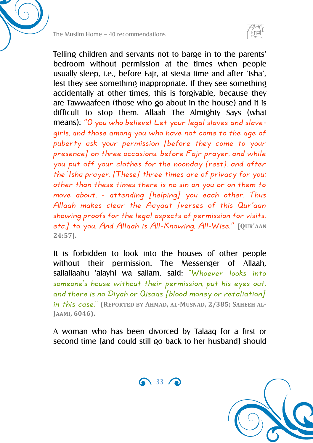



Telling children and servants not to barge in to the parents' bedroom without permission at the times when people usually sleep, i.e., before Fajr, at siesta time and after 'Isha', lest they see something inappropriate. If they see something accidentally at other times, this is forgivable, because they are Tawwaafeen (those who go about in the house) and it is difficult to stop them. Allaah The Almighty Says (what means): "O you who believe! Let your legal slaves and slavegirls, and those among you who have not come to the age of puberty ask your permission [before they come to your presence] on three occasions: before Fajr prayer, and while you put off your clothes for the noonday (rest), and after the 'Isha prayer. [These] three times are of privacy for you; other than these times there is no sin on you or on them to move about, - attending [helping] you each other. Thus Allaah makes clear the Aayaat [verses of this Qur'aan showing proofs for the legal aspects of permission for visits, etc.] to you. And Allaah is All-Knowing, All-Wise." **[QUR'AAN 24:57].**

It is forbidden to look into the houses of other people without their permission. The Messenger of Allaah, sallallaahu 'alayhi wa sallam, said: "Whoever looks into someone's house without their permission, put his eyes out, and there is no Diyah or Qisaas [blood money or retaliation] in this case." **(REPORTED BY AHMAD, AL-MUSNAD, 2/385; SAHEEH AL-JAAMI, 6046).**

A woman who has been divorced by Talaaq for a first or second time [and could still go back to her husband] should



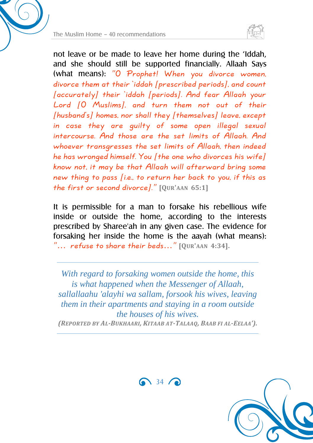

not leave or be made to leave her home during the 'Iddah, and she should still be supported financially. Allaah Says (what means): "O Prophet! When you divorce women, divorce them at their 'iddah [prescribed periods], and count [accurately] their 'iddah [periods]. And fear Allaah your Lord [O Muslims], and turn them not out of their [husband's] homes, nor shall they [themselves] leave, except in case they are guilty of some open illegal sexual intercourse. And those are the set limits of Allaah. And whoever transgresses the set limits of Allaah, then indeed he has wronged himself. You [the one who divorces his wife] know not, it may be that Allaah will afterward bring some new thing to pass [i.e., to return her back to you, if this as the first or second divorce]." **[QUR'AAN 65:1]**

It is permissible for a man to forsake his rebellious wife inside or outside the home, according to the interests prescribed by Sharee'ah in any given case. The evidence for forsaking her inside the home is the aayah (what means): "… refuse to share their beds…" **[QUR'AAN 4:34].**

*With regard to forsaking women outside the home, this is what happened when the Messenger of Allaah, sallallaahu 'alayhi wa sallam, forsook his wives, leaving them in their apartments and staying in a room outside the houses of his wives. (REPORTED BY AL-BUKHAARI, KITAAB AT-TALAAQ, BAAB FI AL-EELAA').*

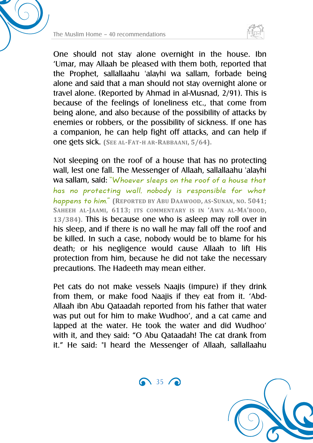



One should not stay alone overnight in the house. Ibn 'Umar, may Allaah be pleased with them both, reported that the Prophet, sallallaahu 'alayhi wa sallam, forbade being alone and said that a man should not stay overnight alone or travel alone. (Reported by Ahmad in al-Musnad, 2/91). This is because of the feelings of loneliness etc., that come from being alone, and also because of the possibility of attacks by enemies or robbers, or the possibility of sickness. If one has a companion, he can help fight off attacks, and can help if one gets sick. **(SEE AL-FAT-H AR-RABBAANI, 5/64).**

Not sleeping on the roof of a house that has no protecting wall, lest one fall. The Messenger of Allaah, sallallaahu 'alayhi wa sallam, said: "Whoever sleeps on the roof of a house that has no protecting wall, nobody is responsible for what happens to him." **(REPORTED BY ABU DAAWOOD, AS-SUNAN, NO. 5041; SAHEEH AL-JAAMI, 6113; ITS COMMENTARY IS IN 'AWN AL-MA'BOOD, 13/384).** This is because one who is asleep may roll over in his sleep, and if there is no wall he may fall off the roof and be killed. In such a case, nobody would be to blame for his death; or his negligence would cause Allaah to lift His protection from him, because he did not take the necessary precautions. The Hadeeth may mean either.

Pet cats do not make vessels Naajis (impure) if they drink from them, or make food Naajis if they eat from it. 'Abd-Allaah ibn Abu Qataadah reported from his father that water was put out for him to make Wudhoo', and a cat came and lapped at the water. He took the water and did Wudhoo' with it, and they said: "O Abu Qataadah! The cat drank from it." He said: "I heard the Messenger of Allaah, sallallaahu

 $\bigcap_{35}$  35

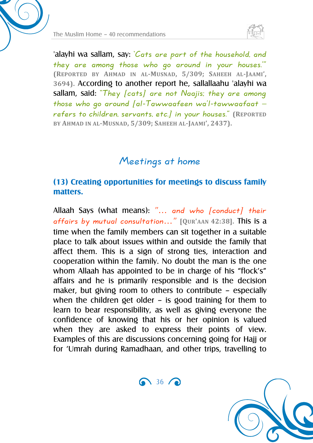

'alayhi wa sallam, say: 'Cats are part of the household, and they are among those who go around in your houses.'" **(REPORTED BY AHMAD IN AL-MUSNAD, 5/309; SAHEEH AL-JAAMI', 3694).** According to another report he, sallallaahu 'alayhi wa sallam, said: "They [cats] are not Naajis; they are among those who go around  $[al-Tawwaafeen wa'l-tawwaafaat$ refers to children, servants, etc.] in your houses." **(REPORTED BY AHMAD IN AL-MUSNAD, 5/309; SAHEEH AL-JAAMI', 2437).**

### Meetings at home

#### **(13) Creating opportunities for meetings to discuss family matters.**

Allaah Says (what means): "… and who [conduct] their affairs by mutual consultation…" **[QUR'AAN 42:38].** This is a time when the family members can sit together in a suitable place to talk about issues within and outside the family that affect them. This is a sign of strong ties, interaction and cooperation within the family. No doubt the man is the one whom Allaah has appointed to be in charge of his "flock's" affairs and he is primarily responsible and is the decision maker, but giving room to others to contribute – especially when the children get older – is good training for them to learn to bear responsibility, as well as giving everyone the confidence of knowing that his or her opinion is valued when they are asked to express their points of view. Examples of this are discussions concerning going for Hajj or for 'Umrah during Ramadhaan, and other trips, travelling to

 $\bigcap$  36  $\bigcap$ 

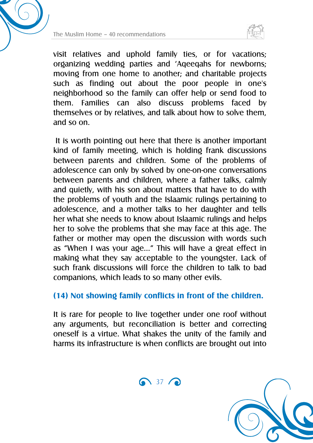



visit relatives and uphold family ties, or for vacations; organizing wedding parties and 'Aqeeqahs for newborns; moving from one home to another; and charitable projects such as finding out about the poor people in one's neighborhood so the family can offer help or send food to them. Families can also discuss problems faced by themselves or by relatives, and talk about how to solve them, and so on.

It is worth pointing out here that there is another important kind of family meeting, which is holding frank discussions between parents and children. Some of the problems of adolescence can only by solved by one-on-one conversations between parents and children, where a father talks, calmly and quietly, with his son about matters that have to do with the problems of youth and the Islaamic rulings pertaining to adolescence, and a mother talks to her daughter and tells her what she needs to know about Islaamic rulings and helps her to solve the problems that she may face at this age. The father or mother may open the discussion with words such as "When I was your age…" This will have a great effect in making what they say acceptable to the youngster. Lack of such frank discussions will force the children to talk to bad companions, which leads to so many other evils.

#### **(14) Not showing family conflicts in front of the children.**

It is rare for people to live together under one roof without any arguments, but reconciliation is better and correcting oneself is a virtue. What shakes the unity of the family and harms its infrastructure is when conflicts are brought out into

 $\bigcirc$  37 $\bigcirc$ 

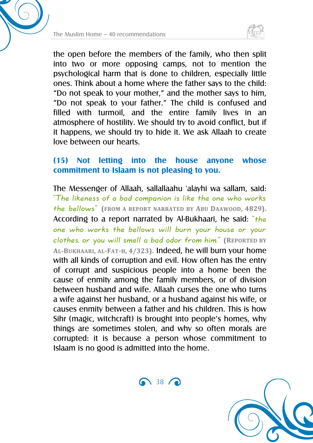



the open before the members of the family, who then split into two or more opposing camps, not to mention the psychological harm that is done to children, especially little ones. Think about a home where the father says to the child: "Do not speak to your mother," and the mother says to him, "Do not speak to your father." The child is confused and filled with turmoil, and the entire family lives in an atmosphere of hostility. We should try to avoid conflict, but if it happens, we should try to hide it. We ask Allaah to create love between our hearts.

#### **(15) Not letting into the house anyone whose commitment to Islaam is not pleasing to you.**

The Messenger of Allaah, sallallaahu 'alayhi wa sallam, said: "The likeness of a bad companion is like the one who works the bellows" **(FROM A REPORT NARRATED BY ABU DAAWOOD, 4829).** According to a report narrated by Al-Bukhaari, he said: "the one who works the bellows will burn your house or your clothes, or you will smell a bad odor from him." **(REPORTED BY AL-BUKHAARI, AL-FAT-H, 4/323).** Indeed, he will burn your home with all kinds of corruption and evil. How often has the entry of corrupt and suspicious people into a home been the cause of enmity among the family members, or of division between husband and wife. Allaah curses the one who turns a wife against her husband, or a husband against his wife, or causes enmity between a father and his children. This is how Sihr (magic, witchcraft) is brought into people's homes, why things are sometimes stolen, and why so often morals are corrupted: it is because a person whose commitment to Islaam is no good is admitted into the home.

 $\bigcap$  38  $\bigcap$ 

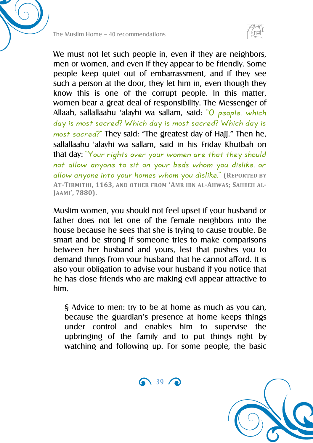



We must not let such people in, even if they are neighbors, men or women, and even if they appear to be friendly. Some people keep quiet out of embarrassment, and if they see such a person at the door, they let him in, even though they know this is one of the corrupt people. In this matter, women bear a great deal of responsibility. The Messenger of Allaah, sallallaahu 'alayhi wa sallam, said: "O people, which day is most sacred? Which day is most sacred? Which day is most sacred?" They said: "The greatest day of Hajj." Then he, sallallaahu 'alayhi wa sallam, said in his Friday Khutbah on that day: "Your rights over your women are that they should not allow anyone to sit on your beds whom you dislike, or allow anyone into your homes whom you dislike." **(REPORTED BY AT-TIRMITHI, 1163, AND OTHER FROM 'AMR IBN AL-AHWAS; SAHEEH AL-JAAMI', 7880).**

Muslim women, you should not feel upset if your husband or father does not let one of the female neighbors into the house because he sees that she is trying to cause trouble. Be smart and be strong if someone tries to make comparisons between her husband and yours, lest that pushes you to demand things from your husband that he cannot afford. It is also your obligation to advise your husband if you notice that he has close friends who are making evil appear attractive to him.

§ Advice to men: try to be at home as much as you can, because the guardian's presence at home keeps things under control and enables him to supervise the upbringing of the family and to put things right by watching and following up. For some people, the basic



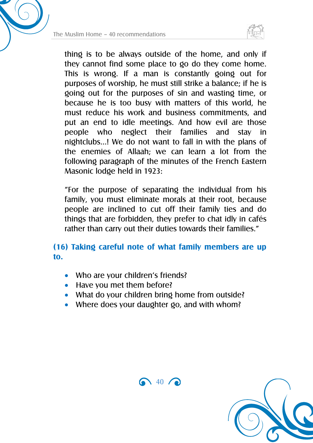



thing is to be always outside of the home, and only if they cannot find some place to go do they come home. This is wrong. If a man is constantly going out for purposes of worship, he must still strike a balance; if he is going out for the purposes of sin and wasting time, or because he is too busy with matters of this world, he must reduce his work and business commitments, and put an end to idle meetings. And how evil are those people who neglect their families and stay in nightclubs…! We do not want to fall in with the plans of the enemies of Allaah; we can learn a lot from the following paragraph of the minutes of the French Eastern Masonic lodge held in 1923:

"For the purpose of separating the individual from his family, you must eliminate morals at their root, because people are inclined to cut off their family ties and do things that are forbidden, they prefer to chat idly in cafés rather than carry out their duties towards their families."

#### **(16) Taking careful note of what family members are up to.**

- Who are your children's friends?
- Have you met them before?
- What do your children bring home from outside?
- Where does your daughter go, and with whom?



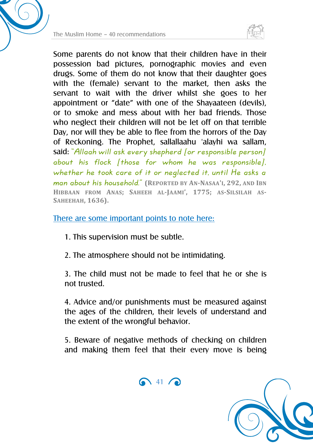



Some parents do not know that their children have in their possession bad pictures, pornographic movies and even drugs. Some of them do not know that their daughter goes with the (female) servant to the market, then asks the servant to wait with the driver whilst she goes to her appointment or "date" with one of the Shayaateen (devils), or to smoke and mess about with her bad friends. Those who neglect their children will not be let off on that terrible Day, nor will they be able to flee from the horrors of the Day of Reckoning. The Prophet, sallallaahu 'alayhi wa sallam, said: "Allaah will ask every shepherd [or responsible person] about his flock [those for whom he was responsible], whether he took care of it or neglected it, until He asks a man about his household." **(REPORTED BY AN-NASAA'I, 292, AND IBN HIBBAAN FROM ANAS; SAHEEH AL-JAAMI', 1775; AS-SILSILAH AS-SAHEEHAH, 1636).**

#### There are some important points to note here:

- 1. This supervision must be subtle.
- 2. The atmosphere should not be intimidating.

3. The child must not be made to feel that he or she is not trusted.

4. Advice and/or punishments must be measured against the ages of the children, their levels of understand and the extent of the wrongful behavior.

5. Beware of negative methods of checking on children and making them feel that their every move is being



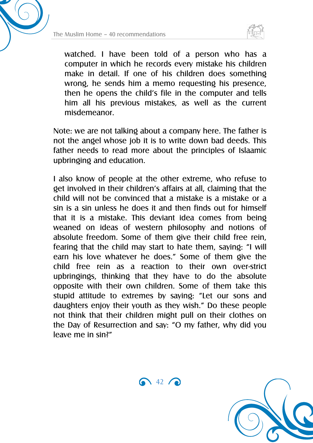



watched. I have been told of a person who has a computer in which he records every mistake his children make in detail. If one of his children does something wrong, he sends him a memo requesting his presence, then he opens the child's file in the computer and tells him all his previous mistakes, as well as the current misdemeanor.

Note: we are not talking about a company here. The father is not the angel whose job it is to write down bad deeds. This father needs to read more about the principles of Islaamic upbringing and education.

I also know of people at the other extreme, who refuse to get involved in their children's affairs at all, claiming that the child will not be convinced that a mistake is a mistake or a sin is a sin unless he does it and then finds out for himself that it is a mistake. This deviant idea comes from being weaned on ideas of western philosophy and notions of absolute freedom. Some of them give their child free rein, fearing that the child may start to hate them, saying: "I will earn his love whatever he does." Some of them give the child free rein as a reaction to their own over-strict upbringings, thinking that they have to do the absolute opposite with their own children. Some of them take this stupid attitude to extremes by saying: "Let our sons and daughters enjoy their youth as they wish." Do these people not think that their children might pull on their clothes on the Day of Resurrection and say: "O my father, why did you leave me in sin?"

 $\bigodot$  42  $\bigodot$ 

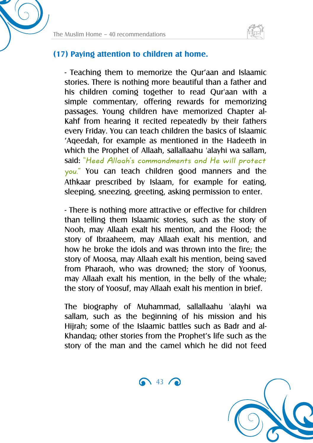

#### **(17) Paying attention to children at home.**

- Teaching them to memorize the Qur'aan and Islaamic stories. There is nothing more beautiful than a father and his children coming together to read Qur'aan with a simple commentary, offering rewards for memorizing passages. Young children have memorized Chapter al-Kahf from hearing it recited repeatedly by their fathers every Friday. You can teach children the basics of Islaamic 'Aqeedah, for example as mentioned in the Hadeeth in which the Prophet of Allaah, sallallaahu 'alayhi wa sallam, said: "Heed Allaah's commandments and He will protect you." You can teach children good manners and the Athkaar prescribed by Islaam, for example for eating, sleeping, sneezing, greeting, asking permission to enter.

- There is nothing more attractive or effective for children than telling them Islaamic stories, such as the story of Nooh, may Allaah exalt his mention, and the Flood; the story of Ibraaheem, may Allaah exalt his mention, and how he broke the idols and was thrown into the fire; the story of Moosa, may Allaah exalt his mention, being saved from Pharaoh, who was drowned; the story of Yoonus, may Allaah exalt his mention, in the belly of the whale; the story of Yoosuf, may Allaah exalt his mention in brief.

The biography of Muhammad, sallallaahu 'alayhi wa sallam, such as the beginning of his mission and his Hijrah; some of the Islaamic battles such as Badr and al-Khandaq; other stories from the Prophet's life such as the story of the man and the camel which he did not feed

 $\bigodot$  43  $\bigodot$ 

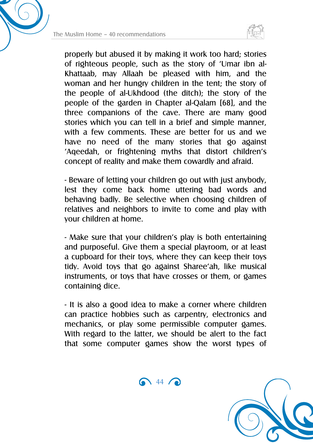



properly but abused it by making it work too hard; stories of righteous people, such as the story of 'Umar ibn al-Khattaab, may Allaah be pleased with him, and the woman and her hungry children in the tent; the story of the people of al-Ukhdood (the ditch); the story of the people of the garden in Chapter al-Qalam [68], and the three companions of the cave. There are many good stories which you can tell in a brief and simple manner, with a few comments. These are better for us and we have no need of the many stories that go against 'Aqeedah, or frightening myths that distort children's concept of reality and make them cowardly and afraid.

- Beware of letting your children go out with just anybody, lest they come back home uttering bad words and behaving badly. Be selective when choosing children of relatives and neighbors to invite to come and play with your children at home.

- Make sure that your children's play is both entertaining and purposeful. Give them a special playroom, or at least a cupboard for their toys, where they can keep their toys tidy. Avoid toys that go against Sharee'ah, like musical instruments, or toys that have crosses or them, or games containing dice.

- It is also a good idea to make a corner where children can practice hobbies such as carpentry, electronics and mechanics, or play some permissible computer games. With regard to the latter, we should be alert to the fact that some computer games show the worst types of

 $\bigodot$  44  $\bigodot$ 

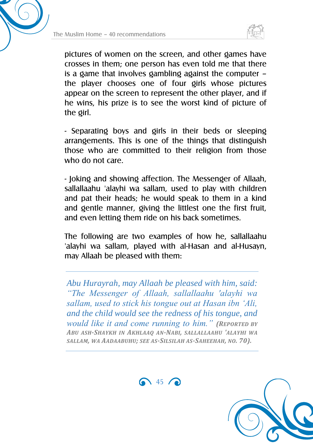



pictures of women on the screen, and other games have crosses in them; one person has even told me that there is a game that involves gambling against the computer – the player chooses one of four girls whose pictures appear on the screen to represent the other player, and if he wins, his prize is to see the worst kind of picture of the girl.

- Separating boys and girls in their beds or sleeping arrangements. This is one of the things that distinguish those who are committed to their religion from those who do not care.

- Joking and showing affection. The Messenger of Allaah, sallallaahu 'alayhi wa sallam, used to play with children and pat their heads; he would speak to them in a kind and gentle manner, giving the littlest one the first fruit, and even letting them ride on his back sometimes.

The following are two examples of how he, sallallaahu 'alayhi wa sallam, played with al-Hasan and al-Husayn, may Allaah be pleased with them:

*Abu Hurayrah, may Allaah be pleased with him, said: "The Messenger of Allaah, sallallaahu 'alayhi wa sallam, used to stick his tongue out at Hasan ibn 'Ali, and the child would see the redness of his tongue, and would like it and come running to him." (REPORTED BY ABU ASH-SHAYKH IN AKHLAAQ AN-NABI, SALLALLAAHU 'ALAYHI WA SALLAM, WA AADAABUHU; SEE AS-SILSILAH AS-SAHEEHAH, NO. 70).*

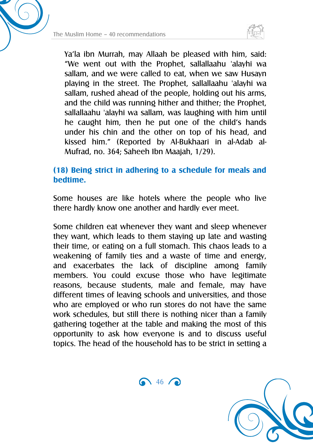

Ya'la ibn Murrah, may Allaah be pleased with him, said: "We went out with the Prophet, sallallaahu 'alayhi wa sallam, and we were called to eat, when we saw Husayn playing in the street. The Prophet, sallallaahu 'alayhi wa sallam, rushed ahead of the people, holding out his arms, and the child was running hither and thither; the Prophet, sallallaahu 'alayhi wa sallam, was laughing with him until he caught him, then he put one of the child's hands under his chin and the other on top of his head, and kissed him." (Reported by Al-Bukhaari in al-Adab al-Mufrad, no. 364; Saheeh Ibn Maajah, 1/29).

#### **(18) Being strict in adhering to a schedule for meals and bedtime.**

Some houses are like hotels where the people who live there hardly know one another and hardly ever meet.

Some children eat whenever they want and sleep whenever they want, which leads to them staying up late and wasting their time, or eating on a full stomach. This chaos leads to a weakening of family ties and a waste of time and energy, and exacerbates the lack of discipline among family members. You could excuse those who have legitimate reasons, because students, male and female, may have different times of leaving schools and universities, and those who are employed or who run stores do not have the same work schedules, but still there is nothing nicer than a family gathering together at the table and making the most of this opportunity to ask how everyone is and to discuss useful topics. The head of the household has to be strict in setting a

 $\bigcap$  46  $\bigcap$ 

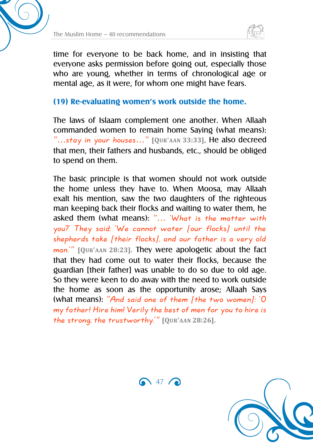

time for everyone to be back home, and in insisting that everyone asks permission before going out, especially those who are young, whether in terms of chronological age or mental age, as it were, for whom one might have fears.

#### **(19) Re-evaluating women's work outside the home.**

The laws of Islaam complement one another. When Allaah commanded women to remain home Saying (what means): "…stay in your houses…" **[QUR'AAN 33:33],** He also decreed that men, their fathers and husbands, etc., should be obliged to spend on them.

The basic principle is that women should not work outside the home unless they have to. When Moosa, may Allaah exalt his mention, saw the two daughters of the righteous man keeping back their flocks and waiting to water them, he asked them (what means): "… 'What is the matter with you?' They said: 'We cannot water [our flocks] until the shepherds take [their flocks], and our father is a very old man.'" **[QUR'AAN 28:23].** They were apologetic about the fact that they had come out to water their flocks, because the guardian [their father] was unable to do so due to old age. So they were keen to do away with the need to work outside the home as soon as the opportunity arose; Allaah Says (what means): "And said one of them [the two women]: 'O my father! Hire him! Verily the best of men for you to hire is the strong, the trustworthy.'" **[QUR'AAN 28:26].**

 $\bigodot$  47  $\bigodot$ 

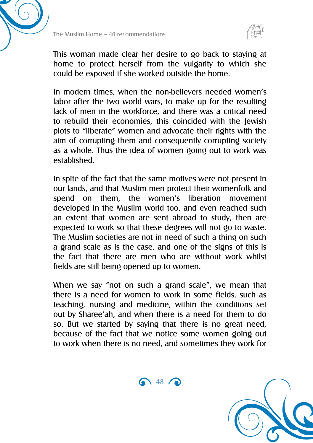



This woman made clear her desire to go back to staying at home to protect herself from the vulgarity to which she could be exposed if she worked outside the home.

In modern times, when the non-believers needed women's labor after the two world wars, to make up for the resulting lack of men in the workforce, and there was a critical need to rebuild their economies, this coincided with the Jewish plots to "liberate" women and advocate their rights with the aim of corrupting them and consequently corrupting society as a whole. Thus the idea of women going out to work was established.

In spite of the fact that the same motives were not present in our lands, and that Muslim men protect their womenfolk and spend on them, the women's liberation movement developed in the Muslim world too, and even reached such an extent that women are sent abroad to study, then are expected to work so that these degrees will not go to waste. The Muslim societies are not in need of such a thing on such a grand scale as is the case, and one of the signs of this is the fact that there are men who are without work whilst fields are still being opened up to women.

When we say "not on such a grand scale", we mean that there is a need for women to work in some fields, such as teaching, nursing and medicine, within the conditions set out by Sharee'ah, and when there is a need for them to do so. But we started by saying that there is no great need, because of the fact that we notice some women going out to work when there is no need, and sometimes they work for

 $\bigcap$  48  $\bigcap$ 

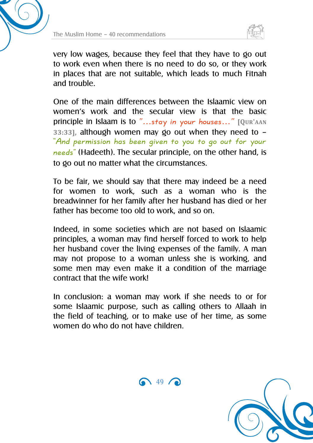



very low wages, because they feel that they have to go out to work even when there is no need to do so, or they work in places that are not suitable, which leads to much Fitnah and trouble.

One of the main differences between the Islaamic view on women's work and the secular view is that the basic principle in Islaam is to "…stay in your houses…" **[QUR'AAN 33:33],** although women may go out when they need to – "And permission has been given to you to go out for your needs" (Hadeeth). The secular principle, on the other hand, is to go out no matter what the circumstances.

To be fair, we should say that there may indeed be a need for women to work, such as a woman who is the breadwinner for her family after her husband has died or her father has become too old to work, and so on.

Indeed, in some societies which are not based on Islaamic principles, a woman may find herself forced to work to help her husband cover the living expenses of the family. A man may not propose to a woman unless she is working, and some men may even make it a condition of the marriage contract that the wife work!

In conclusion: a woman may work if she needs to or for some Islaamic purpose, such as calling others to Allaah in the field of teaching, or to make use of her time, as some women do who do not have children.



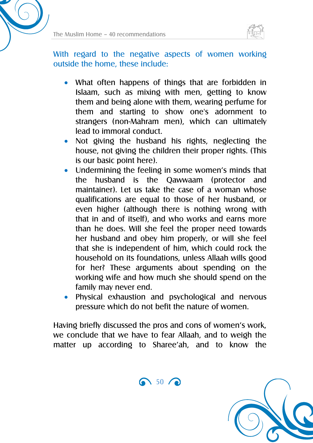

With regard to the negative aspects of women working outside the home, these include:

- What often happens of things that are forbidden in Islaam, such as mixing with men, getting to know them and being alone with them, wearing perfume for them and starting to show one's adornment to strangers (non-Mahram men), which can ultimately lead to immoral conduct.
- Not giving the husband his rights, neglecting the house, not giving the children their proper rights. (This is our basic point here).
- Undermining the feeling in some women's minds that the husband is the Qawwaam (protector and maintainer). Let us take the case of a woman whose qualifications are equal to those of her husband, or even higher (although there is nothing wrong with that in and of itself), and who works and earns more than he does. Will she feel the proper need towards her husband and obey him properly, or will she feel that she is independent of him, which could rock the household on its foundations, unless Allaah wills good for her? These arguments about spending on the working wife and how much she should spend on the family may never end.
- Physical exhaustion and psychological and nervous pressure which do not befit the nature of women.

Having briefly discussed the pros and cons of women's work, we conclude that we have to fear Allaah, and to weigh the matter up according to Sharee'ah, and to know the

 $\bigcap_{50}$  50

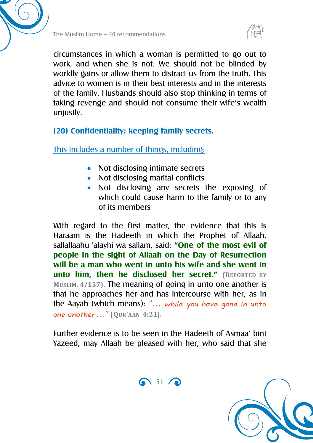



circumstances in which a woman is permitted to go out to work, and when she is not. We should not be blinded by worldly gains or allow them to distract us from the truth. This advice to women is in their best interests and in the interests of the family. Husbands should also stop thinking in terms of taking revenge and should not consume their wife's wealth unjustly.

#### **(20) Confidentiality: keeping family secrets.**

This includes a number of things, including:

- Not disclosing intimate secrets
- Not disclosing marital conflicts
- Not disclosing any secrets the exposing of which could cause harm to the family or to any of its members

With regard to the first matter, the evidence that this is Haraam is the Hadeeth in which the Prophet of Allaah, sallallaahu 'alayhi wa sallam, said: **"One of the most evil of people in the sight of Allaah on the Day of Resurrection will be a man who went in unto his wife and she went in unto him, then he disclosed her secret." (REPORTED BY MUSLIM, 4/157).** The meaning of going in unto one another is that he approaches her and has intercourse with her, as in the Aayah (which means): "… while you have gone in unto one another…" **[QUR'AAN 4:21].**

Further evidence is to be seen in the Hadeeth of Asmaa' bint Yazeed, may Allaah be pleased with her, who said that she



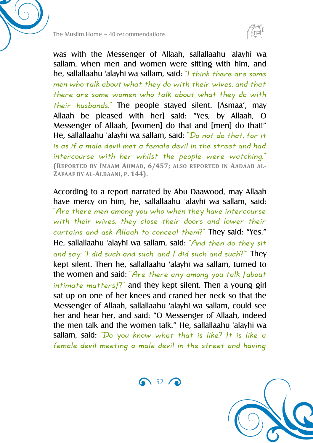

was with the Messenger of Allaah, sallallaahu 'alayhi wa sallam, when men and women were sitting with him, and he, sallallaahu 'alayhi wa sallam, said: "I think there are some men who talk about what they do with their wives, and that there are some women who talk about what they do with their husbands." The people stayed silent. [Asmaa', may Allaah be pleased with her] said: "Yes, by Allaah, O Messenger of Allaah, [women] do that and [men] do that!" He, sallallaahu 'alayhi wa sallam, said: "Do not do that, for it is as if a male devil met a female devil in the street and had intercourse with her whilst the people were watching." **(REPORTED BY IMAAM AHMAD, 6/457; ALSO REPORTED IN AADAAB AL-ZAFAAF BY AL-ALBAANI, P. 144).**

According to a report narrated by Abu Daawood, may Allaah have mercy on him, he, sallallaahu 'alayhi wa sallam, said: "Are there men among you who when they have intercourse with their wives, they close their doors and lower their curtains and ask Allaah to conceal them?" They said: "Yes." He, sallallaahu 'alayhi wa sallam, said: "And then do they sit and say: 'I did such and such, and I did such and such?'" They kept silent. Then he, sallallaahu 'alayhi wa sallam, turned to the women and said: "Are there any among you talk [about  $intimate$  matters]?" and they kept silent. Then a young girl sat up on one of her knees and craned her neck so that the Messenger of Allaah, sallallaahu 'alayhi wa sallam, could see her and hear her, and said: "O Messenger of Allaah, indeed the men talk and the women talk." He, sallallaahu 'alayhi wa sallam, said: "Do you know what that is like? It is like a female devil meeting a male devil in the street and having

 $\bigcap_{52}$  52  $\bigcap$ 

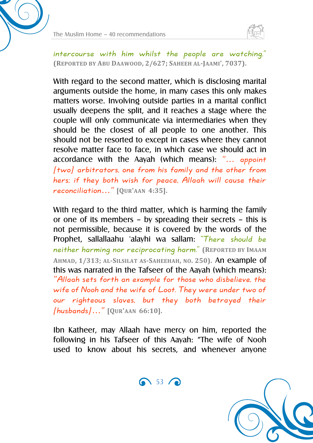



intercourse with him whilst the people are watching." **(REPORTED BY ABU DAAWOOD, 2/627; SAHEEH AL-JAAMI', 7037).**

With regard to the second matter, which is disclosing marital arguments outside the home, in many cases this only makes matters worse. Involving outside parties in a marital conflict usually deepens the split, and it reaches a stage where the couple will only communicate via intermediaries when they should be the closest of all people to one another. This should not be resorted to except in cases where they cannot resolve matter face to face, in which case we should act in accordance with the Aayah (which means): "… appoint [two] arbitrators, one from his family and the other from hers; if they both wish for peace, Allaah will cause their reconciliation…" **[QUR'AAN 4:35].**

With regard to the third matter, which is harming the family or one of its members – by spreading their secrets – this is not permissible, because it is covered by the words of the Prophet, sallallaahu 'alayhi wa sallam: "There should be neither harming nor reciprocating harm." **(REPORTED BY IMAAM AHMAD, 1/313; AL-SILSILAT AS-SAHEEHAH, NO. 250).** An example of this was narrated in the Tafseer of the Aayah (which means): "Allaah sets forth an example for those who disbelieve, the wife of Nooh and the wife of Loot. They were under two of our righteous slaves, but they both betrayed their [husbands]…" **[QUR'AAN 66:10].**

Ibn Katheer, may Allaah have mercy on him, reported the following in his Tafseer of this Aayah: "The wife of Nooh used to know about his secrets, and whenever anyone



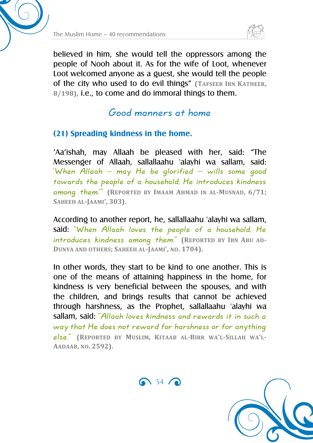



believed in him, she would tell the oppressors among the people of Nooh about it. As for the wife of Loot, whenever Loot welcomed anyone as a guest, she would tell the people of the city who used to do evil things" **(TAFSEER IBN KATHEER, 8/198),** i.e., to come and do immoral things to them.

Good manners at home

#### **(21) Spreading kindness in the home.**

'Aa'ishah, may Allaah be pleased with her, said: "The Messenger of Allaah, sallallaahu 'alayhi wa sallam, said: 'When Allaah – may He be glorified – wills some good towards the people of a household, He introduces kindness among them.'" **(REPORTED BY IMAAM AHMAD IN AL-MUSNAD, 6/71; SAHEEH AL-JAAMI', 303).**

According to another report, he, sallallaahu 'alayhi wa sallam, said: "When Allaah loves the people of a household, He introduces kindness among them." **(REPORTED BY IBN ABU AD-DUNYA AND OTHERS; SAHEEH AL-JAAMI', NO. 1704).**

In other words, they start to be kind to one another. This is one of the means of attaining happiness in the home, for kindness is very beneficial between the spouses, and with the children, and brings results that cannot be achieved through harshness, as the Prophet, sallallaahu 'alayhi wa sallam, said: "Allaah loves kindness and rewards it in such a way that He does not reward for harshness or for anything else." **(REPORTED BY MUSLIM, KITAAB AL-BIRR WA'L-SILLAH WA'L-AADAAB, NO. 2592).**

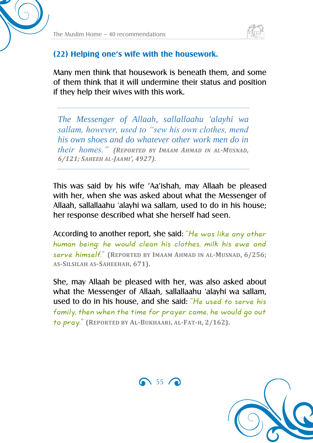

#### **(22) Helping one's wife with the housework.**

Many men think that housework is beneath them, and some of them think that it will undermine their status and position if they help their wives with this work.

*The Messenger of Allaah, sallallaahu 'alayhi wa sallam, however, used to "sew his own clothes, mend his own shoes and do whatever other work men do in their homes." (REPORTED BY IMAAM AHMAD IN AL-MUSNAD, 6/121; SAHEEH AL-JAAMI', 4927).*

This was said by his wife 'Aa'ishah, may Allaah be pleased with her, when she was asked about what the Messenger of Allaah, sallallaahu 'alayhi wa sallam, used to do in his house; her response described what she herself had seen.

According to another report, she said: "He was like any other human being: he would clean his clothes, milk his ewe and serve himself." **(REPORTED BY IMAAM AHMAD IN AL-MUSNAD, 6/256; AS-SILSILAH AS-SAHEEHAH, 671).**

She, may Allaah be pleased with her, was also asked about what the Messenger of Allaah, sallallaahu 'alayhi wa sallam, used to do in his house, and she said: "He used to serve his family, then when the time for prayer came, he would go out to pray." **(REPORTED BY AL-BUKHAARI, AL-FAT-H, 2/162).**



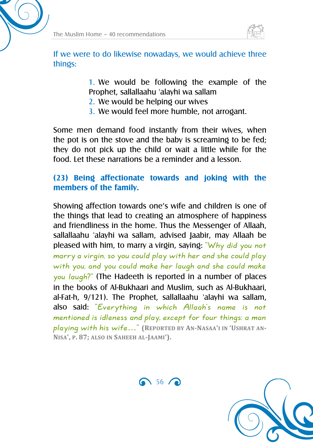

If we were to do likewise nowadays, we would achieve three things:

> 1. We would be following the example of the Prophet, sallallaahu 'alayhi wa sallam

- 2. We would be helping our wives
- 3. We would feel more humble, not arrogant.

Some men demand food instantly from their wives, when the pot is on the stove and the baby is screaming to be fed; they do not pick up the child or wait a little while for the food. Let these narrations be a reminder and a lesson.

#### **(23) Being affectionate towards and joking with the members of the family.**

Showing affection towards one's wife and children is one of the things that lead to creating an atmosphere of happiness and friendliness in the home. Thus the Messenger of Allaah, sallallaahu 'alayhi wa sallam, advised Jaabir, may Allaah be pleased with him, to marry a virgin, saying: "Why did you not marry a virgin, so you could play with her and she could play with you, and you could make her laugh and she could make you laugh?" (The Hadeeth is reported in a number of places in the books of Al-Bukhaari and Muslim, such as Al-Bukhaari, al-Fat-h, 9/121). The Prophet, sallallaahu 'alayhi wa sallam, also said: "Everything in which Allaah's name is not mentioned is idleness and play, except for four things: a man playing with his wife…" **(REPORTED BY AN-NASAA'I IN 'USHRAT AN-NISA', P. 87; ALSO IN SAHEEH AL-JAAMI').**



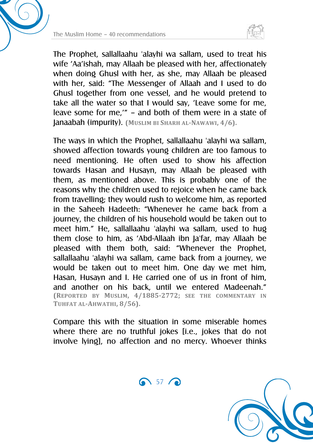



The Prophet, sallallaahu 'alayhi wa sallam, used to treat his wife 'Aa'ishah, may Allaah be pleased with her, affectionately when doing Ghusl with her, as she, may Allaah be pleased with her, said: "The Messenger of Allaah and I used to do Ghusl together from one vessel, and he would pretend to take all the water so that I would say, 'Leave some for me, leave some for me,'" – and both of them were in a state of Janaabah (impurity). **(MUSLIM BI SHARH AL-NAWAWI, 4/6).**

The ways in which the Prophet, sallallaahu 'alayhi wa sallam, showed affection towards young children are too famous to need mentioning. He often used to show his affection towards Hasan and Husayn, may Allaah be pleased with them, as mentioned above. This is probably one of the reasons why the children used to rejoice when he came back from travelling; they would rush to welcome him, as reported in the Saheeh Hadeeth: "Whenever he came back from a journey, the children of his household would be taken out to meet him." He, sallallaahu 'alayhi wa sallam, used to hug them close to him, as 'Abd-Allaah ibn Ja'far, may Allaah be pleased with them both, said: "Whenever the Prophet, sallallaahu 'alayhi wa sallam, came back from a journey, we would be taken out to meet him. One day we met him, Hasan, Husayn and I. He carried one of us in front of him, and another on his back, until we entered Madeenah." **(REPORTED BY MUSLIM, 4/1885-2772; SEE THE COMMENTARY IN TUHFAT AL-AHWATHI, 8/56).**

Compare this with the situation in some miserable homes where there are no truthful jokes [i.e., jokes that do not involve lying], no affection and no mercy. Whoever thinks



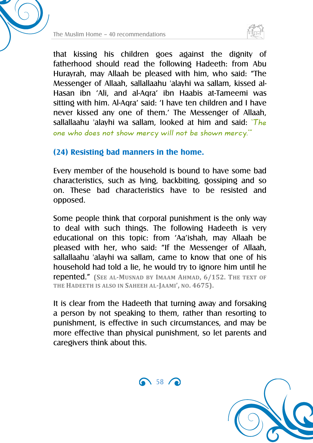



that kissing his children goes against the dignity of fatherhood should read the following Hadeeth: from Abu Hurayrah, may Allaah be pleased with him, who said: "The Messenger of Allaah, sallallaahu 'alayhi wa sallam, kissed al-Hasan ibn 'Ali, and al-Aqra' ibn Haabis at-Tameemi was sitting with him. Al-Aqra' said: 'I have ten children and I have never kissed any one of them.' The Messenger of Allaah, sallallaahu 'alayhi wa sallam, looked at him and said:  $Th_e$ one who does not show mercy will not be shown mercy.'"

#### **(24) Resisting bad manners in the home.**

Every member of the household is bound to have some bad characteristics, such as lying, backbiting, gossiping and so on. These bad characteristics have to be resisted and opposed.

Some people think that corporal punishment is the only way to deal with such things. The following Hadeeth is very educational on this topic: from 'Aa'ishah, may Allaah be pleased with her, who said: "If the Messenger of Allaah, sallallaahu 'alayhi wa sallam, came to know that one of his household had told a lie, he would try to ignore him until he repented." **(SEE AL-MUSNAD BY IMAAM AHMAD, 6/152. THE TEXT OF THE HADEETH IS ALSO IN SAHEEH AL-JAAMI', NO. 4675).**

It is clear from the Hadeeth that turning away and forsaking a person by not speaking to them, rather than resorting to punishment, is effective in such circumstances, and may be more effective than physical punishment, so let parents and caregivers think about this.



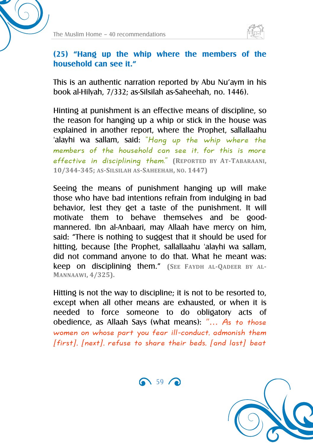

#### **(25) "Hang up the whip where the members of the household can see it."**

This is an authentic narration reported by Abu Nu'aym in his book al-Hilyah, 7/332; as-Silsilah as-Saheehah, no. 1446).

Hinting at punishment is an effective means of discipline, so the reason for hanging up a whip or stick in the house was explained in another report, where the Prophet, sallallaahu 'alayhi wa sallam, said: "Hang up the whip where the members of the household can see it, for this is more effective in disciplining them." **(REPORTED BY AT-TABARAANI, 10/344-345; AS-SILSILAH AS-SAHEEHAH, NO. 1447)**

Seeing the means of punishment hanging up will make those who have bad intentions refrain from indulging in bad behavior, lest they get a taste of the punishment. It will motivate them to behave themselves and be goodmannered. Ibn al-Anbaari, may Allaah have mercy on him, said: "There is nothing to suggest that it should be used for hitting, because [the Prophet, sallallaahu 'alayhi wa sallam, did not command anyone to do that. What he meant was: keep on disciplining them." **(SEE FAYDH AL-QADEER BY AL-MANNAAWI, 4/325).**

Hitting is not the way to discipline; it is not to be resorted to, except when all other means are exhausted, or when it is needed to force someone to do obligatory acts of obedience, as Allaah Says (what means): "… As to those women on whose part you fear ill-conduct, admonish them [first], [next], refuse to share their beds, [and last] beat

 $\bigcap_{59}$   $\bigcap$ 

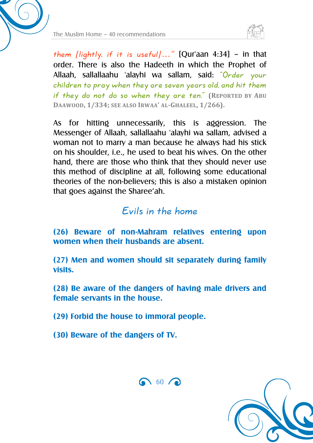



them [lightly, if it is useful]..." [Qur'aan 4:34] - in that order. There is also the Hadeeth in which the Prophet of Allaah, sallallaahu 'alayhi wa sallam, said: "Order your children to pray when they are seven years old, and hit them if they do not do so when they are ten." **(REPORTED BY ABU DAAWOOD, 1/334; SEE ALSO IRWAA' AL-GHALEEL, 1/266).**

As for hitting unnecessarily, this is aggression. The Messenger of Allaah, sallallaahu 'alayhi wa sallam, advised a woman not to marry a man because he always had his stick on his shoulder, i.e., he used to beat his wives. On the other hand, there are those who think that they should never use this method of discipline at all, following some educational theories of the non-believers; this is also a mistaken opinion that goes against the Sharee'ah.

### Evils in the home

**(26) Beware of non-Mahram relatives entering upon women when their husbands are absent.**

**(27) Men and women should sit separately during family visits.**

**(28) Be aware of the dangers of having male drivers and female servants in the house.**

**(29) Forbid the house to immoral people.**

**(30) Beware of the dangers of TV.**



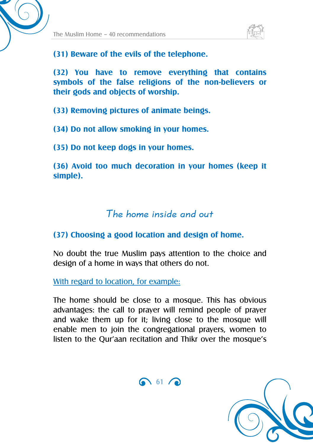



**(31) Beware of the evils of the telephone.**

**(32) You have to remove everything that contains symbols of the false religions of the non-believers or their gods and objects of worship.**

**(33) Removing pictures of animate beings.**

**(34) Do not allow smoking in your homes.**

**(35) Do not keep dogs in your homes.**

**(36) Avoid too much decoration in your homes (keep it simple).**

### The home inside and out

#### **(37) Choosing a good location and design of home.**

No doubt the true Muslim pays attention to the choice and design of a home in ways that others do not.

With regard to location, for example:

The home should be close to a mosque. This has obvious advantages: the call to prayer will remind people of prayer and wake them up for it; living close to the mosque will enable men to join the congregational prayers, women to listen to the Qur'aan recitation and Thikr over the mosque's



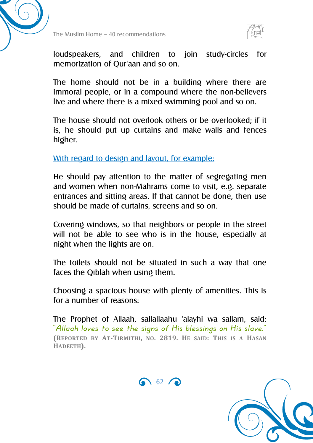



loudspeakers, and children to join study-circles for memorization of Qur'aan and so on.

The home should not be in a building where there are immoral people, or in a compound where the non-believers live and where there is a mixed swimming pool and so on.

The house should not overlook others or be overlooked; if it is, he should put up curtains and make walls and fences higher.

With regard to design and layout, for example:

He should pay attention to the matter of segregating men and women when non-Mahrams come to visit, e.g. separate entrances and sitting areas. If that cannot be done, then use should be made of curtains, screens and so on.

Covering windows, so that neighbors or people in the street will not be able to see who is in the house, especially at night when the lights are on.

The toilets should not be situated in such a way that one faces the Qiblah when using them.

Choosing a spacious house with plenty of amenities. This is for a number of reasons:

The Prophet of Allaah, sallallaahu 'alayhi wa sallam, said: "Allaah loves to see the signs of His blessings on His slave." **(REPORTED BY AT-TIRMITHI, NO. 2819. HE SAID: THIS IS A HASAN HADEETH).**



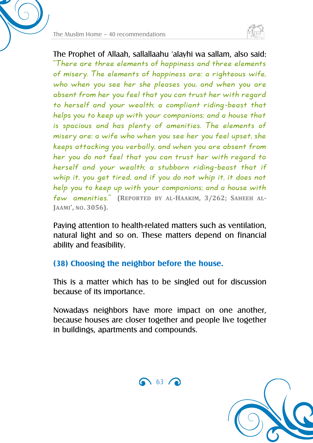



The Prophet of Allaah, sallallaahu 'alayhi wa sallam, also said: "There are three elements of happiness and three elements of misery. The elements of happiness are: a righteous wife, who when you see her she pleases you, and when you are absent from her you feel that you can trust her with regard to herself and your wealth; a compliant riding-beast that helps you to keep up with your companions; and a house that is spacious and has plenty of amenities. The elements of misery are: a wife who when you see her you feel upset, she keeps attacking you verbally, and when you are absent from her you do not feel that you can trust her with regard to herself and your wealth; a stubborn riding-beast that if whip it, you get tired, and if you do not whip it, it does not help you to keep up with your companions; and a house with few amenities." **(REPORTED BY AL-HAAKIM, 3/262; SAHEEH AL-JAAMI', NO. 3056).**

Paying attention to health-related matters such as ventilation, natural light and so on. These matters depend on financial ability and feasibility.

#### **(38) Choosing the neighbor before the house.**

This is a matter which has to be singled out for discussion because of its importance.

Nowadays neighbors have more impact on one another, because houses are closer together and people live together in buildings, apartments and compounds.



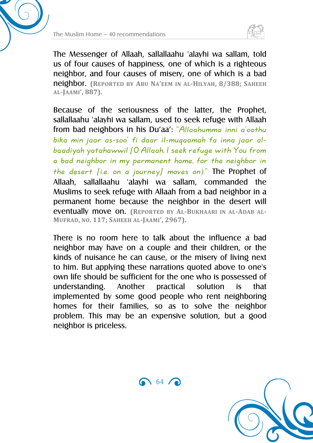



The Messenger of Allaah, sallallaahu 'alayhi wa sallam, told us of four causes of happiness, one of which is a righteous neighbor, and four causes of misery, one of which is a bad neighbor. **(REPORTED BY ABU NA'EEM IN AL-HILYAH, 8/388; SAHEEH AL-JAAMI', 887).**

Because of the seriousness of the latter, the Prophet, sallallaahu 'alayhi wa sallam, used to seek refuge with Allaah from bad neighbors in his Du'aa': "Allaahumma inni a'oothu bika min jaar as-soo' fi daar il-muqaamah fa inna jaar albaadiyah yatahawwil [O Allaah, I seek refuge with You from a bad neighbor in my permanent home, for the neighbor in the desert [i.e. on a journey] moves on)." The Prophet of Allaah, sallallaahu 'alayhi wa sallam, commanded the Muslims to seek refuge with Allaah from a bad neighbor in a permanent home because the neighbor in the desert will eventually move on. **(REPORTED BY AL-BUKHAARI IN AL-ADAB AL-MUFRAD, NO. 117; SAHEEH AL-JAAMI', 2967).**

There is no room here to talk about the influence a bad neighbor may have on a couple and their children, or the kinds of nuisance he can cause, or the misery of living next to him. But applying these narrations quoted above to one's own life should be sufficient for the one who is possessed of understanding. Another practical solution is that implemented by some good people who rent neighboring homes for their families, so as to solve the neighbor problem. This may be an expensive solution, but a good neighbor is priceless.



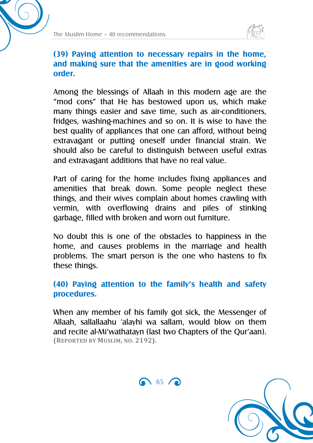



#### **(39) Paying attention to necessary repairs in the home, and making sure that the amenities are in good working order.**

Among the blessings of Allaah in this modern age are the "mod cons" that He has bestowed upon us, which make many things easier and save time, such as air-conditioners, fridges, washing-machines and so on. It is wise to have the best quality of appliances that one can afford, without being extravagant or putting oneself under financial strain. We should also be careful to distinguish between useful extras and extravagant additions that have no real value.

Part of caring for the home includes fixing appliances and amenities that break down. Some people neglect these things, and their wives complain about homes crawling with vermin, with overflowing drains and piles of stinking garbage, filled with broken and worn out furniture.

No doubt this is one of the obstacles to happiness in the home, and causes problems in the marriage and health problems. The smart person is the one who hastens to fix these things.

#### **(40) Paying attention to the family's health and safety procedures.**

When any member of his family got sick, the Messenger of Allaah, sallallaahu 'alayhi wa sallam, would blow on them and recite al-Mi'wathatayn (last two Chapters of the Qur'aan). **(REPORTED BY MUSLIM, NO. 2192).**



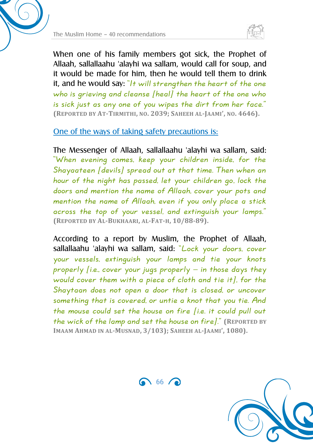



When one of his family members got sick, the Prophet of Allaah, sallallaahu 'alayhi wa sallam, would call for soup, and it would be made for him, then he would tell them to drink it, and he would say: "It will strengthen the heart of the one who is grieving and cleanse [heal] the heart of the one who is sick just as any one of you wipes the dirt from her face." **(REPORTED BY AT-TIRMITHI, NO. 2039; SAHEEH AL-JAAMI', NO. 4646).**

#### One of the ways of taking safety precautions is:

The Messenger of Allaah, sallallaahu 'alayhi wa sallam, said: "When evening comes, keep your children inside, for the Shayaateen [devils] spread out at that time. Then when an hour of the night has passed, let your children go, lock the doors and mention the name of Allaah, cover your pots and mention the name of Allaah, even if you only place a stick across the top of your vessel, and extinguish your lamps." **(REPORTED BY AL-BUKHAARI, AL-FAT-H, 10/88-89).**

According to a report by Muslim, the Prophet of Allaah, sallallaahu 'alayhi wa sallam, said: "Lock your doors, cover your vessels, extinguish your lamps and tie your knots properly [i.e., cover your jugs properly – in those days they would cover them with a piece of cloth and tie it], for the Shaytaan does not open a door that is closed, or uncover something that is covered, or untie a knot that you tie. And the mouse could set the house on fire [i.e. it could pull out the wick of the lamp and set the house on fire]." **(REPORTED BY IMAAM AHMAD IN AL-MUSNAD, 3/103); SAHEEH AL-JAAMI', 1080).**